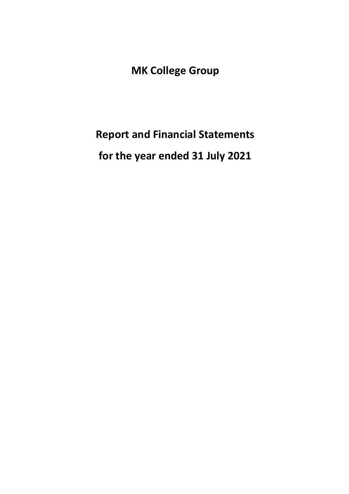**MK College Group**

# **Report and Financial Statements for the year ended 31 July 2021**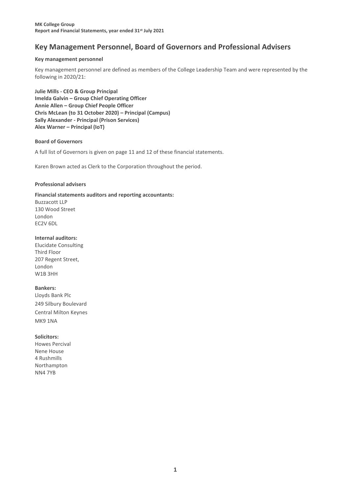# **Key Management Personnel, Board of Governors and Professional Advisers**

#### **Key management personnel**

Key management personnel are defined as members of the College Leadership Team and were represented by the following in 2020/21:

**Julie Mills - CEO & Group Principal Imelda Galvin – Group Chief Operating Officer Annie Allen – Group Chief People Officer Chris McLean (to 31 October 2020) – Principal (Campus) Sally Alexander - Principal (Prison Services) Alex Warner – Principal (IoT)**

## **Board of Governors**

A full list of Governors is given on page 11 and 12 of these financial statements.

Karen Brown acted as Clerk to the Corporation throughout the period.

## **Professional advisers**

**Financial statements auditors and reporting accountants:**

Buzzacott LLP 130 Wood Street London EC2V 6DL

# **Internal auditors:**

Elucidate Consulting Third Floor 207 Regent Street, London W1B 3HH

# **Bankers:**

Lloyds Bank Plc 249 Silbury Boulevard Central Milton Keynes MK9 1NA

# **Solicitors:**

Howes Percival Nene House 4 Rushmills Northampton NN4 7YB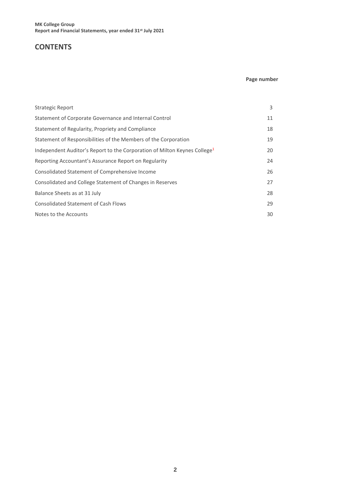# **CONTENTS**

# **Page number**

| Strategic Report                                                                      | 3  |
|---------------------------------------------------------------------------------------|----|
| Statement of Corporate Governance and Internal Control                                | 11 |
| Statement of Regularity, Propriety and Compliance                                     | 18 |
| Statement of Responsibilities of the Members of the Corporation                       | 19 |
| Independent Auditor's Report to the Corporation of Milton Keynes College <sup>1</sup> | 20 |
| Reporting Accountant's Assurance Report on Regularity                                 | 24 |
| Consolidated Statement of Comprehensive Income                                        | 26 |
| Consolidated and College Statement of Changes in Reserves                             | 27 |
| Balance Sheets as at 31 July                                                          | 28 |
| <b>Consolidated Statement of Cash Flows</b>                                           | 29 |
| Notes to the Accounts                                                                 | 30 |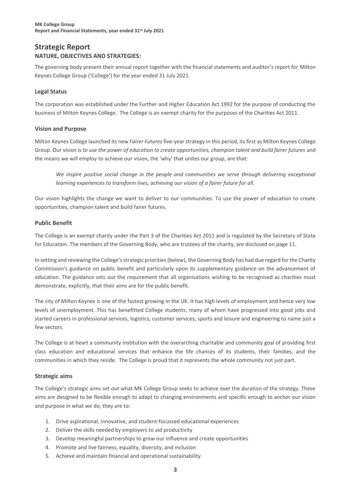# **Strategic Report NATURE, OBJECTIVES AND STRATEGIES:**

The governing body present their annual report together with the financial statements and auditor's report for Milton Keynes College Group ('College') for the year ended 31 July 2021.

# **Legal Status**

The corporation was established under the Further and Higher Education Act 1992 for the purpose of conducting the business of Milton Keynes College. The College is an exempt charity for the purposes of the Charities Act 2011.

# **Vision and Purpose**

Milton Keynes College launched its new *Fairer Futures* five-year strategy in this period, its first as Milton Keynes College Group. Our vision is *to use the power of education to create opportunities, champion talent and build fairer futures* and the means we will employ to achieve our vision, the 'why' that unites our group, are that:

We inspire positive social change in the people and communities we serve through delivering exceptional *learning experiences to transform lives, achieving our vision of a fairer future for all.*

Our vision highlights the change we want to deliver to our communities: To use the power of education to create opportunities, champion talent and build fairer futures.

# **Public Benefit**

The College is an exempt charity under the Part 3 of the Charities Act 2011 and is regulated by the Secretary of State for Education. The members of the Governing Body, who are trustees of the charity, are disclosed on page 11.

In setting and reviewing the College's strategic priorities (below), the Governing Body has had due regard for the Charity Commission's guidance on public benefit and particularly upon its supplementary guidance on the advancement of education. The guidance sets out the requirement that all organisations wishing to be recognised as charities must demonstrate, explicitly, that their aims are for the public benefit.

The city of Milton Keynes is one of the fastest growing in the UK. It has high levels of employment and hence very low levels of unemployment. This has benefitted College students, many of whom have progressed into good jobs and started careers in professional services, logistics, customer services, sports and leisure and engineering to name just a few sectors.

The College is at heart a community institution with the overarching charitable and community goal of providing first class education and educational services that enhance the life chances of its students, their families, and the communities in which they reside. The College is proud that it represents the whole community not just part.

# **Strategic aims**

The College's strategic aims set out what MK College Group seeks to achieve over the duration of the strategy. These aims are designed to be flexible enough to adapt to changing environments and specific enough to anchor our vision and purpose in what we do, they are to:

- 1. Drive aspirational, innovative, and student-focussed educational experiences
- 2. Deliver the skills needed by employers to aid productivity
- 3. Develop meaningful partnerships to grow our influence and create opportunities
- 4. Promote and live fairness, equality, diversity, and inclusion
- 5. Achieve and maintain financial and operational sustainability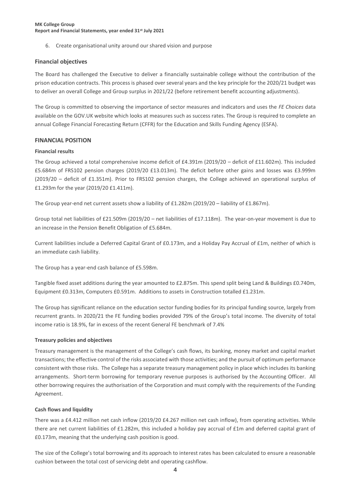6. Create organisational unity around our shared vision and purpose

## **Financial objectives**

The Board has challenged the Executive to deliver a financially sustainable college without the contribution of the prison education contracts. This process is phased over several years and the key principle for the 2020/21 budget was to deliver an overall College and Group surplus in 2021/22 (before retirement benefit accounting adjustments).

The Group is committed to observing the importance of sector measures and indicators and uses the *FE Choices* data available on the GOV.UK website which looks at measures such as success rates. The Group is required to complete an annual College Financial Forecasting Return (CFFR) for the Education and Skills Funding Agency (ESFA).

# **FINANCIAL POSITION**

#### **Financial results**

The Group achieved a total comprehensive income deficit of £4.391m (2019/20 - deficit of £11.602m). This included £5.684m of FRS102 pension charges (2019/20 £13.013m). The deficit before other gains and losses was £3.999m (2019/20 – deficit of £1.351m). Prior to FRS102 pension charges, the College achieved an operational surplus of £1.293m for the year (2019/20 £1.411m).

The Group year-end net current assets show a liability of £1.282m (2019/20 – liability of £1.867m).

Group total net liabilities of £21.509m (2019/20 – net liabilities of £17.118m). The year-on-year movement is due to an increase in the Pension Benefit Obligation of £5.684m.

Current liabilities include a Deferred Capital Grant of £0.173m, and a Holiday Pay Accrual of £1m, neither of which is an immediate cash liability.

The Group has a year-end cash balance of £5.598m.

Tangible fixed asset additions during the year amounted to £2.875m. This spend split being Land & Buildings £0.740m, Equipment £0.313m, Computers £0.591m. Additions to assets in Construction totalled £1.231m.

The Group has significant reliance on the education sector funding bodies for its principal funding source, largely from recurrent grants. In 2020/21 the FE funding bodies provided 79% of the Group's total income. The diversity of total income ratio is 18.9%, far in excess of the recent General FE benchmark of 7.4%

#### **Treasury policies and objectives**

Treasury management is the management of the College's cash flows, its banking, money market and capital market transactions; the effective control of the risks associated with those activities; and the pursuit of optimum performance consistent with those risks. The College has a separate treasury management policy in place which includes its banking arrangements. Short-term borrowing for temporary revenue purposes is authorised by the Accounting Officer. All other borrowing requires the authorisation of the Corporation and must comply with the requirements of the Funding Agreement.

# **Cash flows and liquidity**

There was a £4.412 million net cash inflow (2019/20 £4.267 million net cash inflow), from operating activities. While there are net current liabilities of £1.282m, this included a holiday pay accrual of £1m and deferred capital grant of £0.173m, meaning that the underlying cash position is good.

The size of the College's total borrowing and its approach to interest rates has been calculated to ensure a reasonable cushion between the total cost of servicing debt and operating cashflow.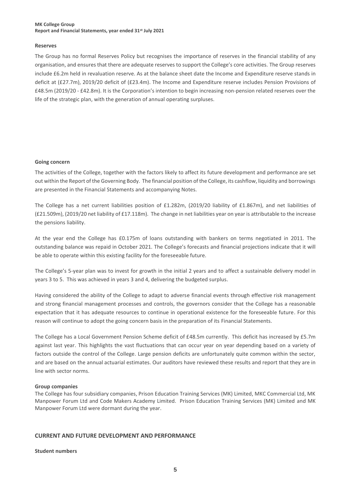#### **Reserves**

The Group has no formal Reserves Policy but recognises the importance of reserves in the financial stability of any organisation, and ensures that there are adequate reserves to support the College's core activities. The Group reserves include £6.2m held in revaluation reserve. As at the balance sheet date the Income and Expenditure reserve stands in deficit at (£27.7m), 2019/20 deficit of (£23.4m). The Income and Expenditure reserve includes Pension Provisions of £48.5m (2019/20 - £42.8m). It is the Corporation's intention to begin increasing non-pension related reserves over the life of the strategic plan, with the generation of annual operating surpluses.

#### **Going concern**

The activities of the College, together with the factors likely to affect its future development and performance are set out within the Report of the Governing Body. The financial position of the College, its cashflow, liquidity and borrowings are presented in the Financial Statements and accompanying Notes.

The College has a net current liabilities position of £1.282m, (2019/20 liability of £1.867m), and net liabilities of (£21.509m), (2019/20 net liability of £17.118m). The change in net liabilities year on year is attributable to the increase the pensions liability.

At the year end the College has £0.175m of loans outstanding with bankers on terms negotiated in 2011. The outstanding balance was repaid in October 2021. The College's forecasts and financial projections indicate that it will be able to operate within this existing facility for the foreseeable future.

The College's 5-year plan was to invest for growth in the initial 2 years and to affect a sustainable delivery model in years 3 to 5. This was achieved in years 3 and 4, delivering the budgeted surplus.

Having considered the ability of the College to adapt to adverse financial events through effective risk management and strong financial management processes and controls, the governors consider that the College has a reasonable expectation that it has adequate resources to continue in operational existence for the foreseeable future. For this reason will continue to adopt the going concern basis in the preparation of its Financial Statements.

The College has a Local Government Pension Scheme deficit of £48.5m currently. This deficit has increased by £5.7m against last year. This highlights the vast fluctuations that can occur year on year depending based on a variety of factors outside the control of the College. Large pension deficits are unfortunately quite common within the sector, and are based on the annual actuarial estimates. Our auditors have reviewed these results and report that they are in line with sector norms.

#### **Group companies**

The College has four subsidiary companies, Prison Education Training Services (MK) Limited, MKC Commercial Ltd, MK Manpower Forum Ltd and Code Makers Academy Limited. Prison Education Training Services (MK) Limited and MK Manpower Forum Ltd were dormant during the year.

#### **CURRENT AND FUTURE DEVELOPMENT AND PERFORMANCE**

**Student numbers**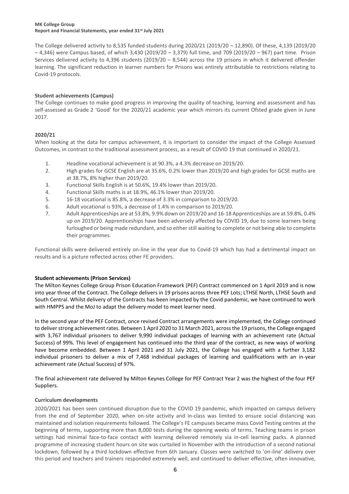The College delivered activity to 8,535 funded students during 2020/21 (2019/20 – 12,890). Of these, 4,139 (2019/20 – 4,346) were Campus based, of which 3,430 (2019/20 – 3,379) full time, and 709 (2019/20 – 967) part time. Prison Services delivered activity to 4,396 students (2019/20 – 8,544) across the 19 prisons in which it delivered offender learning. The significant reduction in learner numbers for Prisons was entirely attributable to restrictions relating to Covid-19 protocols.

# **Student achievements (Campus)**

The College continues to make good progress in improving the quality of teaching, learning and assessment and has self-assessed as Grade 2 'Good' for the 2020/21 academic year which mirrors its current Ofsted grade given in June 2017.

# **2020/21**

When looking at the data for campus achievement, it is important to consider the impact of the College Assessed Outcomes, in contrast to the traditional assessment process, as a result of COVID 19 that continued in 2020/21.

- 1. Headline vocational achievement is at 90.3%, a 4.3% decrease on 2019/20.
- 2. High grades for GCSE English are at 35.6%, 0.2% lower than 2019/20 and high grades for GCSE maths are at 38.7%, 8% higher than 2019/20.
- 3. Functional Skills English is at 50.6%, 19.4% lower than 2019/20.
- 4. Functional Skills maths is at 18.9%, 46.1% lower than 2019/20.
- 5. 16-18 vocational is 85.8%, a decrease of 3.3% in comparison to 2019/20.
- 6. Adult vocational is 93%, a decrease of 1.4% in comparison to 2019/20.
- 7. Adult Apprenticeships are at 53.8%, 9.9% down on 2019/20 and 16-18 Apprenticeships are at 59.8%, 0.4% up on 2019/20. Apprenticeships have been adversely affected by COVID 19, due to some learners being furloughed or being made redundant, and so either still waiting to complete or not being able to complete their programmes.

Functional skills were delivered entirely on-line in the year due to Covid-19 which has had a detrimental impact on results and is a picture reflected across other FE providers.

#### **Student achievements (Prison Services)**

The Milton Keynes College Group Prison Education Framework (PEF) Contract commenced on 1 April 2019 and is now into year three of the Contract. The College delivers in 19 prisons across three PEF Lots; LTHSE North, LTHSE South and South Central. Whilst delivery of the Contracts has been impacted by the Covid pandemic, we have continued to work with HMPPS and the MoJ to adapt the delivery model to meet learner need.

In the second year of the PEF Contract, once revised Contract arrangements were implemented, the College continued to deliver strong achievement rates. Between 1 April 2020 to 31 March 2021, across the 19 prisons, the College engaged with 3,767 individual prisoners to deliver 9,990 individual packages of learning with an achievement rate (Actual Success) of 99%. This level of engagement has continued into the third year of the contract, as new ways of working have become embedded. Between 1 April 2021 and 31 July 2021, the College has engaged with a further 3,182 individual prisoners to deliver a mix of 7,468 individual packages of learning and qualifications with an in-year achievement rate (Actual Success) of 97%.

The final achievement rate delivered by Milton Keynes College for PEF Contract Year 2 was the highest of the four PEF Suppliers.

#### **Curriculum developments**

2020/2021 has been seen continued disruption due to the COVID 19 pandemic, which impacted on campus delivery from the end of September 2020, when on-site activity and in-class was limited to ensure social distancing was maintained and isolation requirements followed. The College's FE campuses became mass Covid Testing centres at the beginning of terms, supporting more than 8,000 tests during the opening weeks of terms. Teaching teams in prison settings had minimal face-to-face contact with learning delivered remotely via in-cell learning packs. A planned programme of increasing student hours on site was curtailed in November with the introduction of a second national lockdown, followed by a third lockdown effective from 6th January. Classes were switched to 'on-line' delivery over this period and teachers and trainers responded extremely well, and continued to deliver effective, often innovative,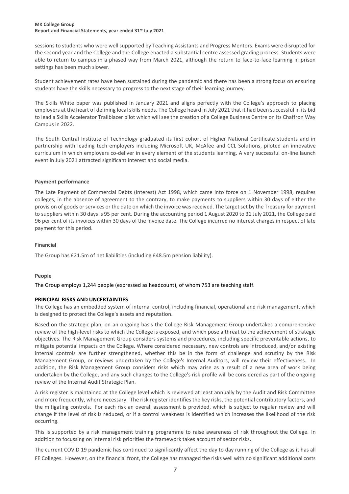sessions to students who were well supported by Teaching Assistants and Progress Mentors. Exams were disrupted for the second year and the College and the College enacted a substantial centre assessed grading process. Students were able to return to campus in a phased way from March 2021, although the return to face-to-face learning in prison settings has been much slower.

Student achievement rates have been sustained during the pandemic and there has been a strong focus on ensuring students have the skills necessary to progress to the next stage of their learning journey.

The Skills White paper was published in January 2021 and aligns perfectly with the College's approach to placing employers at the heart of defining local skills needs. The College heard in July 2021 that it had been successful in its bid to lead a Skills Accelerator Trailblazer pilot which will see the creation of a College Business Centre on its Chaffron Way Campus in 2022.

The South Central Institute of Technology graduated its first cohort of Higher National Certificate students and in partnership with leading tech employers including Microsoft UK, McAfee and CCL Solutions, piloted an innovative curriculum in which employers co-deliver in every element of the students learning. A very successful on-line launch event in July 2021 attracted significant interest and social media.

## **Payment performance**

The Late Payment of Commercial Debts (Interest) Act 1998, which came into force on 1 November 1998, requires colleges, in the absence of agreement to the contrary, to make payments to suppliers within 30 days of either the provision of goods or services or the date on which the invoice was received. The target set by the Treasury for payment to suppliers within 30 days is 95 per cent. During the accounting period 1 August 2020 to 31 July 2021, the College paid 96 per cent of its invoices within 30 days of the invoice date. The College incurred no interest charges in respect of late payment for this period.

# **Financial**

The Group has £21.5m of net liabilities (including £48.5m pension liability).

# **People**

The Group employs 1,244 people (expressed as headcount), of whom 753 are teaching staff.

# **PRINCIPAL RISKS AND UNCERTAINTIES**

The College has an embedded system of internal control, including financial, operational and risk management, which is designed to protect the College's assets and reputation.

Based on the strategic plan, on an ongoing basis the College Risk Management Group undertakes a comprehensive review of the high-level risks to which the College is exposed, and which pose a threat to the achievement of strategic objectives. The Risk Management Group considers systems and procedures, including specific preventable actions, to mitigate potential impacts on the College. Where considered necessary, new controls are introduced, and/or existing internal controls are further strengthened, whether this be in the form of challenge and scrutiny by the Risk Management Group, or reviews undertaken by the College's Internal Auditors, will review their effectiveness. In addition, the Risk Management Group considers risks which may arise as a result of a new area of work being undertaken by the College, and any such changes to the College's risk profile will be considered as part of the ongoing review of the Internal Audit Strategic Plan.

A risk register is maintained at the College level which is reviewed at least annually by the Audit and Risk Committee and more frequently, where necessary. The risk register identifies the key risks, the potential contributory factors, and the mitigating controls. For each risk an overall assessment is provided, which is subject to regular review and will change if the level of risk is reduced, or if a control weakness is identified which increases the likelihood of the risk occurring.

This is supported by a risk management training programme to raise awareness of risk throughout the College. In addition to focussing on internal risk priorities the framework takes account of sector risks.

The current COVID 19 pandemic has continued to significantly affect the day to day running of the College as it has all FE Colleges. However, on the financial front, the College has managed the risks well with no significant additional costs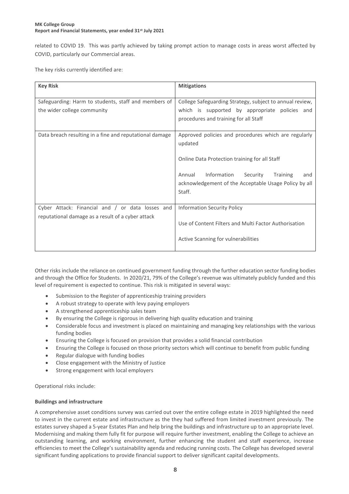related to COVID 19. This was partly achieved by taking prompt action to manage costs in areas worst affected by COVID, particularly our Commercial areas.

The key risks currently identified are:

| <b>Key Risk</b>                                                                                       | <b>Mitigations</b>                                                                                                                                                                                                                          |
|-------------------------------------------------------------------------------------------------------|---------------------------------------------------------------------------------------------------------------------------------------------------------------------------------------------------------------------------------------------|
| Safeguarding: Harm to students, staff and members of<br>the wider college community                   | College Safeguarding Strategy, subject to annual review,<br>which is supported by appropriate policies and<br>procedures and training for all Staff                                                                                         |
| Data breach resulting in a fine and reputational damage                                               | Approved policies and procedures which are regularly<br>updated<br>Online Data Protection training for all Staff<br>Annual<br>Information<br>Security<br>Training<br>and<br>acknowledgement of the Acceptable Usage Policy by all<br>Staff. |
| Cyber Attack: Financial and / or data losses and<br>reputational damage as a result of a cyber attack | Information Security Policy<br>Use of Content Filters and Multi Factor Authorisation<br>Active Scanning for vulnerabilities                                                                                                                 |

Other risks include the reliance on continued government funding through the further education sector funding bodies and through the Office for Students. In 2020/21, 79% of the College's revenue was ultimately publicly funded and this level of requirement is expected to continue. This risk is mitigated in several ways:

- Submission to the Register of apprenticeship training providers
- A robust strategy to operate with levy paying employers
- A strengthened apprenticeship sales team
- By ensuring the College is rigorous in delivering high quality education and training
- Considerable focus and investment is placed on maintaining and managing key relationships with the various funding bodies
- Ensuring the College is focused on provision that provides a solid financial contribution
- Ensuring the College is focused on those priority sectors which will continue to benefit from public funding
- Regular dialogue with funding bodies
- Close engagement with the Ministry of Justice
- Strong engagement with local employers

Operational risks include:

#### **Buildings and infrastructure**

A comprehensive asset conditions survey was carried out over the entire college estate in 2019 highlighted the need to invest in the current estate and infrastructure as the they had suffered from limited investment previously. The estates survey shaped a 5-year Estates Plan and help bring the buildings and infrastructure up to an appropriate level. Modernising and making them fully fit for purpose will require further investment, enabling the College to achieve an outstanding learning, and working environment, further enhancing the student and staff experience, increase efficiencies to meet the College's sustainability agenda and reducing running costs. The College has developed several significant funding applications to provide financial support to deliver significant capital developments.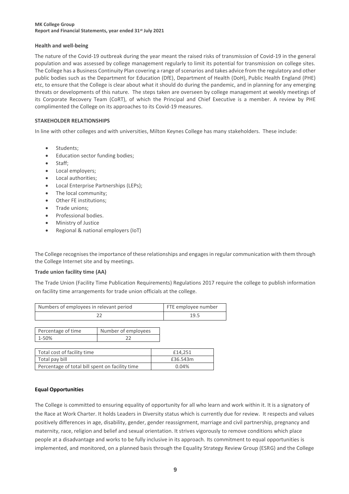### **Health and well-being**

The nature of the Covid-19 outbreak during the year meant the raised risks of transmission of Covid-19 in the general population and was assessed by college management regularly to limit its potential for transmission on college sites. The College has a Business Continuity Plan covering a range of scenarios and takes advice from the regulatory and other public bodies such as the Department for Education (DfE), Department of Health (DoH), Public Health England (PHE) etc, to ensure that the College is clear about what it should do during the pandemic, and in planning for any emerging threats or developments of this nature. The steps taken are overseen by college management at weekly meetings of its Corporate Recovery Team (CoRT), of which the Principal and Chief Executive is a member. A review by PHE complimented the College on its approaches to its Covid-19 measures.

### **STAKEHOLDER RELATIONSHIPS**

In line with other colleges and with universities, Milton Keynes College has many stakeholders. These include:

- Students;
- Education sector funding bodies;
- Staff:
- Local employers:
- Local authorities;
- Local Enterprise Partnerships (LEPs);
- The local community:
- Other FE institutions;
- Trade unions;
- Professional bodies.
- Ministry of Justice
- Regional & national employers (IoT)

The College recognises the importance of these relationships and engages in regular communication with them through the College Internet site and by meetings.

#### **Trade union facility time (AA)**

The Trade Union (Facility Time Publication Requirements) Regulations 2017 require the college to publish information on facility time arrangements for trade union officials at the college.

| Numbers of employees in relevant period | FTE employee number |
|-----------------------------------------|---------------------|
|                                         | 19.5                |

| Percentage of time | Number of employees |
|--------------------|---------------------|
| 1-50%              |                     |

| Total cost of facility time                     | £14.251  |
|-------------------------------------------------|----------|
| Total pay bill                                  | £36.543m |
| Percentage of total bill spent on facility time | 0.04%    |

# **Equal Opportunities**

The College is committed to ensuring equality of opportunity for all who learn and work within it. It is a signatory of th[e Race at Work Charter.](https://eur02.safelinks.protection.outlook.com/?url=https%3A%2F%2Fwww.bitc.org.uk%2Frace%2F&data=04%7C01%7Cmiranda.coles%40mkcollege.ac.uk%7C87e2f0ec6a754f0edd3d08d9b8e4265b%7C952c9f77608e4fb29a07fe66983b9967%7C0%7C0%7C637744112292442381%7CUnknown%7CTWFpbGZsb3d8eyJWIjoiMC4wLjAwMDAiLCJQIjoiV2luMzIiLCJBTiI6Ik1haWwiLCJXVCI6Mn0%3D%7C3000&sdata=q7Lc7HuronDwCfKqXDCiO%2BwY6YxJW2ofy0ivlk%2BIP4I%3D&reserved=0) It holds [Leaders in Diversity](https://eur02.safelinks.protection.outlook.com/?url=https%3A%2F%2Fnationalcentrefordiversity.com%2Fdiversity-accreditations%2Fleaders-in-diversity%2F&data=04%7C01%7Cmiranda.coles%40mkcollege.ac.uk%7C87e2f0ec6a754f0edd3d08d9b8e4265b%7C952c9f77608e4fb29a07fe66983b9967%7C0%7C0%7C637744112292452407%7CUnknown%7CTWFpbGZsb3d8eyJWIjoiMC4wLjAwMDAiLCJQIjoiV2luMzIiLCJBTiI6Ik1haWwiLCJXVCI6Mn0%3D%7C3000&sdata=INr%2BqAsFvsY1Ex3rS37%2FBM%2BrmkN70mj5DU7OVsM2VPw%3D&reserved=0) status which is currently due for review. It respects and values positively differences in age, disability, gender, gender reassignment, marriage and civil partnership, pregnancy and maternity, race, religion and belief and sexual orientation. It strives vigorously to remove conditions which place people at a disadvantage and works to be fully inclusive in its approach. Its commitment to equal opportunities is implemented, and monitored, on a planned basis through the Equality Strategy Review Group (ESRG) and the College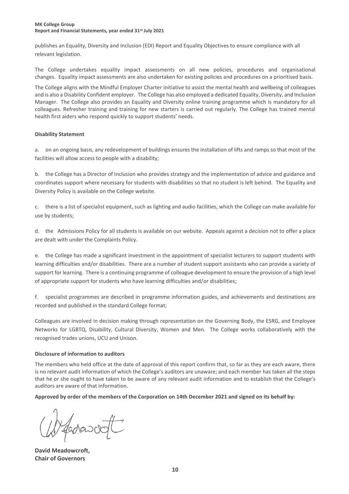publishes an Equality, Diversity and Inclusion (EDI) Report and Equality Objectives to ensure compliance with all relevant legislation.

The College undertakes equality impact assessments on all new policies, procedures and organisational changes. Equality impact assessments are also undertaken for existing policies and procedures on a prioritised basis.

The College aligns with th[e Mindful Employer Charter](https://eur02.safelinks.protection.outlook.com/?url=https%3A%2F%2Fwww.mindfulemployer.dpt.nhs.uk%2Four-charter&data=04%7C01%7Cmiranda.coles%40mkcollege.ac.uk%7C87e2f0ec6a754f0edd3d08d9b8e4265b%7C952c9f77608e4fb29a07fe66983b9967%7C0%7C0%7C637744112292452407%7CUnknown%7CTWFpbGZsb3d8eyJWIjoiMC4wLjAwMDAiLCJQIjoiV2luMzIiLCJBTiI6Ik1haWwiLCJXVCI6Mn0%3D%7C3000&sdata=ParciVRXpqzNqOp85a6MKaul50bGmZEEdAZ8QnNeQxE%3D&reserved=0) initiative to assist the mental health and wellbeing of colleagues and is also [a Disability Confident](https://eur02.safelinks.protection.outlook.com/?url=https%3A%2F%2Fwww.gov.uk%2Fgovernment%2Fcollections%2Fdisability-confident-campaign&data=04%7C01%7Cmiranda.coles%40mkcollege.ac.uk%7C87e2f0ec6a754f0edd3d08d9b8e4265b%7C952c9f77608e4fb29a07fe66983b9967%7C0%7C0%7C637744112292462354%7CUnknown%7CTWFpbGZsb3d8eyJWIjoiMC4wLjAwMDAiLCJQIjoiV2luMzIiLCJBTiI6Ik1haWwiLCJXVCI6Mn0%3D%7C3000&sdata=7nM2Z2CW%2BWgQtzfGJx8TfxKLo5PLv0S2YC2SygA6490%3D&reserved=0) employer. The College has also employed a dedicated Equality, Diversity, and Inclusion Manager. The College also provides an Equality and Diversity online training programme which is mandatory for all colleagues. Refresher training and training for new starters is carried out regularly. The College has trained mental health first aiders who respond quickly to support students' needs.

#### **Disability Statement**

a. on an ongoing basis, any redevelopment of buildings ensures the installation of lifts and ramps so that most of the facilities will allow access to people with a disability;

b. the College has a Director of Inclusion who provides strategy and the implementation of advice and guidance and coordinates support where necessary for students with disabilities so that no student is left behind. The Equality and Diversity Policy is available on the College website.

c. there is a list of specialist equipment, such as lighting and audio facilities, which the College can make available for use by students;

d. the Admissions Policy for all students is available on our website. Appeals against a decision not to offer a place are dealt with under the Complaints Policy.

e. the College has made a significant investment in the appointment of specialist lecturers to support students with learning difficulties and/or disabilities. There are a number of student support assistants who can provide a variety of support for learning. There is a continuing programme of colleague development to ensure the provision of a high level of appropriate support for students who have learning difficulties and/or disabilities;

f. specialist programmes are described in programme information guides, and achievements and destinations are recorded and published in the standard College format;

Colleagues are involved in decision making through representation on the Governing Body, the ESRG, and Employee Networks for LGBTQ, Disability, Cultural Diversity, Women and Men. The College works collaboratively with the recognised trades unions, UCU and Unison.

# **Disclosure of information to auditors**

The members who held office at the date of approval of this report confirm that, so far as they are each aware, there is no relevant audit information of which the College's auditors are unaware; and each member has taken all the steps that he or she ought to have taken to be aware of any relevant audit information and to establish that the College's auditors are aware of that information.

**Approved by order of the members of the Corporation on 14th December 2021 and signed on its behalf by:**

adawa

**David Meadowcroft, Chair of Governors**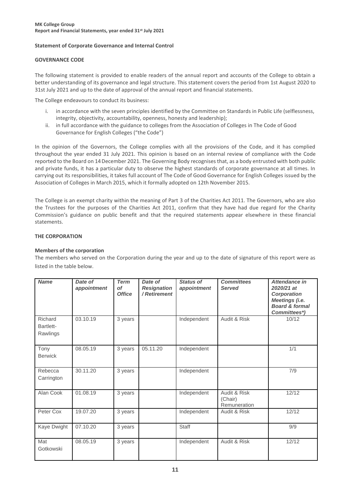# **Statement of Corporate Governance and Internal Control**

#### **GOVERNANCE CODE**

The following statement is provided to enable readers of the annual report and accounts of the College to obtain a better understanding of its governance and legal structure. This statement covers the period from 1st August 2020 to 31st July 2021 and up to the date of approval of the annual report and financial statements.

The College endeavours to conduct its business:

- i. in accordance with the seven principles identified by the Committee on Standards in Public Life (selflessness, integrity, objectivity, accountability, openness, honesty and leadership);
- ii. in full accordance with the guidance to colleges from the Association of Colleges in The Code of Good Governance for English Colleges ("the Code")

In the opinion of the Governors, the College complies with all the provisions of the Code, and it has complied throughout the year ended 31 July 2021. This opinion is based on an internal review of compliance with the Code reported to the Board on 14December 2021. The Governing Body recognises that, as a body entrusted with both public and private funds, it has a particular duty to observe the highest standards of corporate governance at all times. In carrying out its responsibilities, it takes full account of The Code of Good Governance for English Colleges issued by the Association of Colleges in March 2015, which it formally adopted on 12th November 2015.

The College is an exempt charity within the meaning of Part 3 of the Charities Act 2011. The Governors, who are also the Trustees for the purposes of the Charities Act 2011, confirm that they have had due regard for the Charity Commission's guidance on public benefit and that the required statements appear elsewhere in these financial statements.

## **THE CORPORATION**

#### **Members of the corporation**

The members who served on the Corporation during the year and up to the date of signature of this report were as listed in the table below.

| <b>Name</b>                      | Date of<br>appointment | <b>Term</b><br><b>of</b><br><b>Office</b> | Date of<br><b>Resignation</b><br>/ Retirement | <b>Status of</b><br>appointment | <b>Committees</b><br><b>Served</b>      | Attendance in<br>2020/21 at<br><b>Corporation</b><br>Meetings (i.e.<br><b>Board &amp; formal</b><br>Committees*) |
|----------------------------------|------------------------|-------------------------------------------|-----------------------------------------------|---------------------------------|-----------------------------------------|------------------------------------------------------------------------------------------------------------------|
| Richard<br>Bartlett-<br>Rawlings | 03.10.19               | 3 years                                   |                                               | Independent                     | Audit & Risk                            | 10/12                                                                                                            |
| Tony<br><b>Berwick</b>           | 08.05.19               | 3 years                                   | 05.11.20                                      | Independent                     |                                         | 1/1                                                                                                              |
| Rebecca<br>Carrington            | 30.11.20               | 3 years                                   |                                               | Independent                     |                                         | 7/9                                                                                                              |
| Alan Cook                        | 01.08.19               | 3 years                                   |                                               | Independent                     | Audit & Risk<br>(Chair)<br>Remuneration | 12/12                                                                                                            |
| Peter Cox                        | 19.07.20               | 3 years                                   |                                               | Independent                     | Audit & Risk                            | 12/12                                                                                                            |
| Kaye Dwight                      | 07.10.20               | 3 years                                   |                                               | Staff                           |                                         | 9/9                                                                                                              |
| Mat<br>Gotkowski                 | 08.05.19               | 3 years                                   |                                               | Independent                     | Audit & Risk                            | 12/12                                                                                                            |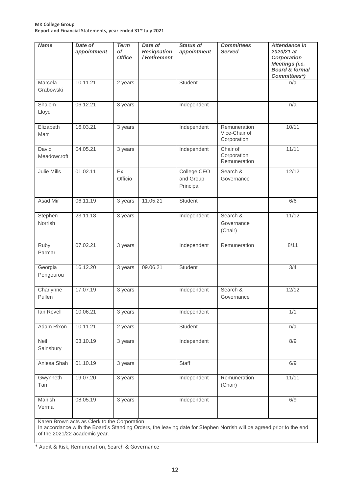| <b>Name</b>               | Date of<br>appointment                       | <b>Term</b><br>of<br><b>Office</b> | Date of<br><b>Resignation</b><br>/ Retirement | Status of<br>appointment              | <b>Committees</b><br><b>Served</b>           | Attendance in<br>2020/21 at<br>Corporation<br>Meetings (i.e.<br><b>Board &amp; formal</b><br>Committees*) |
|---------------------------|----------------------------------------------|------------------------------------|-----------------------------------------------|---------------------------------------|----------------------------------------------|-----------------------------------------------------------------------------------------------------------|
| Marcela<br>Grabowski      | 10.11.21                                     | 2 years                            |                                               | Student                               |                                              | n/a                                                                                                       |
| Shalom<br>Lloyd           | 06.12.21                                     | 3 years                            |                                               | Independent                           |                                              | n/a                                                                                                       |
| Elizabeth<br>Marr         | 16.03.21                                     | 3 years                            |                                               | Independent                           | Remuneration<br>Vice-Chair of<br>Corporation | 10/11                                                                                                     |
| David<br>Meadowcroft      | 04.05.21                                     | 3 years                            |                                               | Independent                           | Chair of<br>Corporation<br>Remuneration      | 11/11                                                                                                     |
| <b>Julie Mills</b>        | 01.02.11                                     | Ex<br>Officio                      |                                               | College CEO<br>and Group<br>Principal | Search &<br>Governance                       | 12/12                                                                                                     |
| <b>Asad Mir</b>           | 06.11.19                                     | 3 years                            | 11.05.21                                      | Student                               |                                              | 6/6                                                                                                       |
| Stephen<br><b>Norrish</b> | 23.11.18                                     | 3 years                            |                                               | Independent                           | Search &<br>Governance<br>(Chair)            | 11/12                                                                                                     |
| Ruby<br>Parmar            | 07.02.21                                     | 3 years                            |                                               | Independent                           | Remuneration                                 | 8/11                                                                                                      |
| Georgia<br>Pongourou      | 16.12.20                                     | 3 years                            | 09.06.21                                      | <b>Student</b>                        |                                              | 3/4                                                                                                       |
| Charlynne<br>Pullen       | 17.07.19                                     | 3 years                            |                                               | Independent                           | Search &<br>Governance                       | 12/12                                                                                                     |
| lan Revell                | 10.06.21                                     | 3 years                            |                                               | Independent                           |                                              | 1/1                                                                                                       |
| Adam Rixon                | 10.11.21                                     | 2 years                            |                                               | Student                               |                                              | n/a                                                                                                       |
| Neil<br>Sainsbury         | 03.10.19                                     | 3 years                            |                                               | Independent                           |                                              | 8/9                                                                                                       |
| Aniesa Shah               | 01.10.19                                     | 3 years                            |                                               | Staff                                 |                                              | 6/9                                                                                                       |
| Gwynneth<br>Tan           | 19.07.20                                     | $\overline{3}$ years               |                                               | Independent                           | Remuneration<br>(Chair)                      | 11/11                                                                                                     |
| Manish<br>Verma           | 08.05.19                                     | 3 years                            |                                               | Independent                           |                                              | 6/9                                                                                                       |
|                           | Karen Brown acts as Clerk to the Corporation |                                    |                                               |                                       |                                              |                                                                                                           |

In accordance with the Board's Standing Orders, the leaving date for Stephen Norrish will be agreed prior to the end of the 2021/22 academic year.

\* Audit & Risk, Remuneration, Search & Governance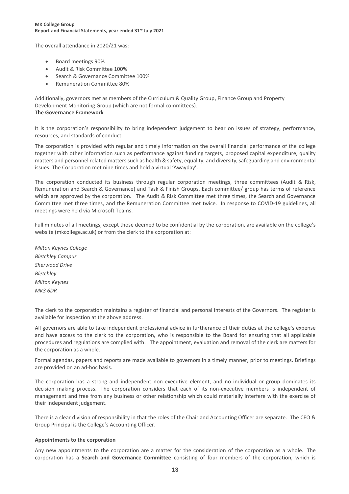The overall attendance in 2020/21 was:

- Board meetings 90%
- Audit & Risk Committee 100%
- Search & Governance Committee 100%
- Remuneration Committee 80%

Additionally, governors met as members of the Curriculum & Quality Group, Finance Group and Property Development Monitoring Group (which are not formal committees). **The Governance Framework**

It is the corporation's responsibility to bring independent judgement to bear on issues of strategy, performance, resources, and standards of conduct.

The corporation is provided with regular and timely information on the overall financial performance of the college together with other information such as performance against funding targets, proposed capital expenditure, quality matters and personnel related matters such as health & safety, equality, and diversity, safeguarding and environmental issues. The Corporation met nine times and held a virtual 'Awayday'.

The corporation conducted its business through regular corporation meetings, three committees (Audit & Risk, Remuneration and Search & Governance) and Task & Finish Groups. Each committee/ group has terms of reference which are approved by the corporation. The Audit & Risk Committee met three times, the Search and Governance Committee met three times, and the Remuneration Committee met twice. In response to COVID-19 guidelines, all meetings were held via Microsoft Teams.

Full minutes of all meetings, except those deemed to be confidential by the corporation, are available on the college's website (mkcollege.ac.uk) or from the clerk to the corporation at:

*Milton Keynes College Bletchley Campus Sherwood Drive Bletchley Milton Keynes MK3 6DR*

The clerk to the corporation maintains a register of financial and personal interests of the Governors. The register is available for inspection at the above address.

All governors are able to take independent professional advice in furtherance of their duties at the college's expense and have access to the clerk to the corporation, who is responsible to the Board for ensuring that all applicable procedures and regulations are complied with. The appointment, evaluation and removal of the clerk are matters for the corporation as a whole.

Formal agendas, papers and reports are made available to governors in a timely manner, prior to meetings. Briefings are provided on an ad-hoc basis.

The corporation has a strong and independent non-executive element, and no individual or group dominates its decision making process. The corporation considers that each of its non-executive members is independent of management and free from any business or other relationship which could materially interfere with the exercise of their independent judgement.

There is a clear division of responsibility in that the roles of the Chair and Accounting Officer are separate. The CEO & Group Principal is the College's Accounting Officer.

#### **Appointments to the corporation**

Any new appointments to the corporation are a matter for the consideration of the corporation as a whole. The corporation has a **Search and Governance Committee** consisting of four members of the corporation, which is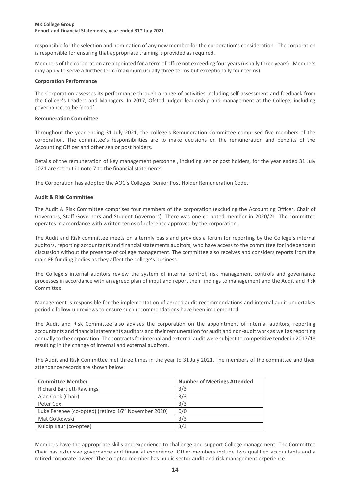responsible for the selection and nomination of any new member for the corporation's consideration. The corporation is responsible for ensuring that appropriate training is provided as required.

Members of the corporation are appointed for a term of office not exceeding four years (usually three years). Members may apply to serve a further term (maximum usually three terms but exceptionally four terms).

#### **Corporation Performance**

The Corporation assesses its performance through a range of activities including self-assessment and feedback from the College's Leaders and Managers. In 2017, Ofsted judged leadership and management at the College, including governance, to be 'good'.

#### **Remuneration Committee**

Throughout the year ending 31 July 2021, the college's Remuneration Committee comprised five members of the corporation. The committee's responsibilities are to make decisions on the remuneration and benefits of the Accounting Officer and other senior post holders.

Details of the remuneration of key management personnel, including senior post holders, for the year ended 31 July 2021 are set out in note 7 to the financial statements.

The Corporation has adopted the AOC's Colleges' Senior Post Holder Remuneration Code.

## **Audit & Risk Committee**

The Audit & Risk Committee comprises four members of the corporation (excluding the Accounting Officer, Chair of Governors, Staff Governors and Student Governors). There was one co-opted member in 2020/21. The committee operates in accordance with written terms of reference approved by the corporation.

The Audit and Risk committee meets on a termly basis and provides a forum for reporting by the College's internal auditors, reporting accountants and financial statements auditors, who have access to the committee for independent discussion without the presence of college management. The committee also receives and considers reports from the main FE funding bodies as they affect the college's business.

The College's internal auditors review the system of internal control, risk management controls and governance processes in accordance with an agreed plan of input and report their findings to management and the Audit and Risk Committee.

Management is responsible for the implementation of agreed audit recommendations and internal audit undertakes periodic follow-up reviews to ensure such recommendations have been implemented.

The Audit and Risk Committee also advises the corporation on the appointment of internal auditors, reporting accountants and financial statements auditors and their remuneration for audit and non-audit work as well as reporting annually to the corporation. The contracts for internal and external audit were subject to competitive tender in 2017/18 resulting in the change of internal and external auditors.

The Audit and Risk Committee met three times in the year to 31 July 2021. The members of the committee and their attendance records are shown below:

| <b>Committee Member</b>                                          | <b>Number of Meetings Attended</b> |
|------------------------------------------------------------------|------------------------------------|
| <b>Richard Bartlett-Rawlings</b>                                 | 3/3                                |
| Alan Cook (Chair)                                                | 3/3                                |
| Peter Cox                                                        | 3/3                                |
| Luke Ferebee (co-opted) (retired 16 <sup>th</sup> November 2020) | 0/0                                |
| Mat Gotkowski                                                    | 3/3                                |
| Kuldip Kaur (co-optee)                                           | 3/3                                |

Members have the appropriate skills and experience to challenge and support College management. The Committee Chair has extensive governance and financial experience. Other members include two qualified accountants and a retired corporate lawyer. The co-opted member has public sector audit and risk management experience.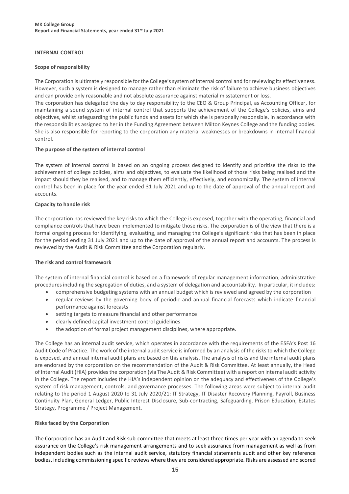#### **INTERNAL CONTROL**

#### **Scope of responsibility**

The Corporation is ultimately responsible for the College's system of internal control and for reviewing its effectiveness. However, such a system is designed to manage rather than eliminate the risk of failure to achieve business objectives and can provide only reasonable and not absolute assurance against material misstatement or loss.

The corporation has delegated the day to day responsibility to the CEO & Group Principal, as Accounting Officer, for maintaining a sound system of internal control that supports the achievement of the College's policies, aims and objectives, whilst safeguarding the public funds and assets for which she is personally responsible, in accordance with the responsibilities assigned to her in the Funding Agreement between Milton Keynes College and the funding bodies. She is also responsible for reporting to the corporation any material weaknesses or breakdowns in internal financial control.

## **The purpose of the system of internal control**

The system of internal control is based on an ongoing process designed to identify and prioritise the risks to the achievement of college policies, aims and objectives, to evaluate the likelihood of those risks being realised and the impact should they be realised, and to manage them efficiently, effectively, and economically. The system of internal control has been in place for the year ended 31 July 2021 and up to the date of approval of the annual report and accounts.

## **Capacity to handle risk**

The corporation has reviewed the key risks to which the College is exposed, together with the operating, financial and compliance controls that have been implemented to mitigate those risks. The corporation is of the view that there is a formal ongoing process for identifying, evaluating, and managing the College's significant risks that has been in place for the period ending 31 July 2021 and up to the date of approval of the annual report and accounts. The process is reviewed by the Audit & Risk Committee and the Corporation regularly.

#### **The risk and control framework**

The system of internal financial control is based on a framework of regular management information, administrative procedures including the segregation of duties, and a system of delegation and accountability. In particular, it includes:

- comprehensive budgeting systems with an annual budget which is reviewed and agreed by the corporation
- regular reviews by the governing body of periodic and annual financial forecasts which indicate financial performance against forecasts
- setting targets to measure financial and other performance
- clearly defined capital investment control guidelines
- the adoption of formal project management disciplines, where appropriate.

The College has an internal audit service, which operates in accordance with the requirements of the ESFA's Post 16 Audit Code of Practice. The work of the internal audit service is informed by an analysis of the risks to which the College is exposed, and annual internal audit plans are based on this analysis. The analysis of risks and the internal audit plans are endorsed by the corporation on the recommendation of the Audit & Risk Committee. At least annually, the Head of Internal Audit (HIA) provides the corporation (via The Audit & Risk Committee) with a report on internal audit activity in the College. The report includes the HIA's independent opinion on the adequacy and effectiveness of the College's system of risk management, controls, and governance processes. The following areas were subject to internal audit relating to the period 1 August 2020 to 31 July 2020/21: IT Strategy, IT Disaster Recovery Planning, Payroll, Business Continuity Plan, General Ledger, Public Interest Disclosure, Sub-contracting, Safeguarding, Prison Education, Estates Strategy, Programme / Project Management.

#### **Risks faced by the Corporation**

The Corporation has an Audit and Risk sub-committee that meets at least three times per year with an agenda to seek assurance on the College's risk management arrangements and to seek assurance from management as well as from independent bodies such as the internal audit service, statutory financial statements audit and other key reference bodies, including commissioning specific reviews where they are considered appropriate. Risks are assessed and scored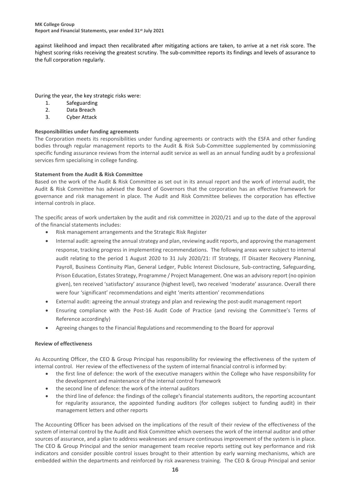against likelihood and impact then recalibrated after mitigating actions are taken, to arrive at a net risk score. The highest scoring risks receiving the greatest scrutiny. The sub-committee reports its findings and levels of assurance to the full corporation regularly.

During the year, the key strategic risks were:

- 1. Safeguarding
- 2. Data Breach
- 3. Cyber Attack

# **Responsibilities under funding agreements**

The Corporation meets its responsibilities under funding agreements or contracts with the ESFA and other funding bodies through regular management reports to the Audit & Risk Sub-Committee supplemented by commissioning specific funding assurance reviews from the internal audit service as well as an annual funding audit by a professional services firm specialising in college funding.

# **Statement from the Audit & Risk Committee**

Based on the work of the Audit & Risk Committee as set out in its annual report and the work of internal audit, the Audit & Risk Committee has advised the Board of Governors that the corporation has an effective framework for governance and risk management in place. The Audit and Risk Committee believes the corporation has effective internal controls in place.

The specific areas of work undertaken by the audit and risk committee in 2020/21 and up to the date of the approval of the financial statements includes:

- Risk management arrangements and the Strategic Risk Register
- Internal audit: agreeing the annual strategy and plan, reviewing audit reports, and approving the management response, tracking progress in implementing recommendations. The following areas were subject to internal audit relating to the period 1 August 2020 to 31 July 2020/21: IT Strategy, IT Disaster Recovery Planning, Payroll, Business Continuity Plan, General Ledger, Public Interest Disclosure, Sub-contracting, Safeguarding, Prison Education, Estates Strategy, Programme / Project Management. One was an advisory report (no opinion given), ten received 'satisfactory' assurance (highest level), two received 'moderate' assurance. Overall there were four 'significant' recommendations and eight 'merits attention' recommendations
- External audit: agreeing the annual strategy and plan and reviewing the post-audit management report
- Ensuring compliance with the Post-16 Audit Code of Practice (and revising the Committee's Terms of Reference accordingly)
- Agreeing changes to the Financial Regulations and recommending to the Board for approval

# **Review of effectiveness**

As Accounting Officer, the CEO & Group Principal has responsibility for reviewing the effectiveness of the system of internal control. Her review of the effectiveness of the system of internal financial control is informed by:

- the first line of defence: the work of the executive managers within the College who have responsibility for the development and maintenance of the internal control framework
- the second line of defence: the work of the internal auditors
- the third line of defence: the findings of the college's financial statements auditors, the reporting accountant for regularity assurance, the appointed funding auditors (for colleges subject to funding audit) in their management letters and other reports

The Accounting Officer has been advised on the implications of the result of their review of the effectiveness of the system of internal control by the Audit and Risk Committee which oversees the work of the internal auditor and other sources of assurance, and a plan to address weaknesses and ensure continuous improvement of the system is in place. The CEO & Group Principal and the senior management team receive reports setting out key performance and risk indicators and consider possible control issues brought to their attention by early warning mechanisms, which are embedded within the departments and reinforced by risk awareness training. The CEO & Group Principal and senior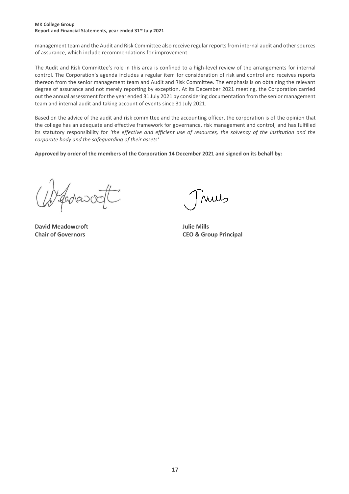management team and the Audit and Risk Committee also receive regular reports from internal audit and other sources of assurance, which include recommendations for improvement.

The Audit and Risk Committee's role in this area is confined to a high-level review of the arrangements for internal control. The Corporation's agenda includes a regular item for consideration of risk and control and receives reports thereon from the senior management team and Audit and Risk Committee. The emphasis is on obtaining the relevant degree of assurance and not merely reporting by exception. At its December 2021 meeting, the Corporation carried out the annual assessment for the year ended 31 July 2021 by considering documentation from the senior management team and internal audit and taking account of events since 31 July 2021.

Based on the advice of the audit and risk committee and the accounting officer, the corporation is of the opinion that the college has an adequate and effective framework for governance, risk management and control, and has fulfilled its statutory responsibility for *'the effective and efficient use of resources, the solvency of the institution and the corporate body and the safeguarding of their assets'*

**Approved by order of the members of the Corporation 14 December 2021 and signed on its behalf by:**

anawrs

**David Meadowcroft Contract Contract David Meadowcroft Julie Mills** 

rwis

**Chair of Governors CEO & Group Principal**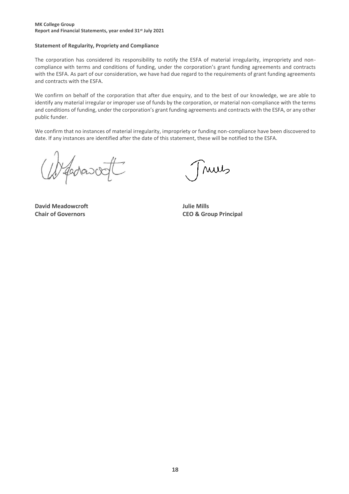#### **Statement of Regularity, Propriety and Compliance**

The corporation has considered its responsibility to notify the ESFA of material irregularity, impropriety and noncompliance with terms and conditions of funding, under the corporation's grant funding agreements and contracts with the ESFA. As part of our consideration, we have had due regard to the requirements of grant funding agreements and contracts with the ESFA.

We confirm on behalf of the corporation that after due enquiry, and to the best of our knowledge, we are able to identify any material irregular or improper use of funds by the corporation, or material non-compliance with the terms and conditions of funding, under the corporation's grant funding agreements and contracts with the ESFA, or any other public funder.

We confirm that no instances of material irregularity, impropriety or funding non-compliance have been discovered to date. If any instances are identified after the date of this statement, these will be notified to the ESFA.

gadasoo

**David Meadowcroft Contract Contract Contract Contract Contract Contract Contract Contract Contract Contract Contract Contract Contract Contract Contract Contract Contract Contract Contract Contract Contract Contract Con** 

Muls

**Chair of Governors CEO & Group Principal**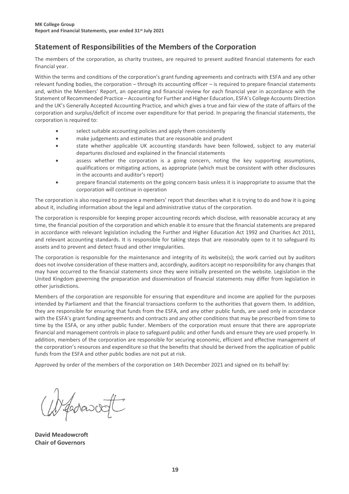# **Statement of Responsibilities of the Members of the Corporation**

The members of the corporation, as charity trustees, are required to present audited financial statements for each financial year.

Within the terms and conditions of the corporation's grant funding agreements and contracts with ESFA and any other relevant funding bodies, the corporation – through its accounting officer – is required to prepare financial statements and, within the Members' Report, an operating and financial review for each financial year in accordance with the Statement of Recommended Practice – Accounting for Further and Higher Education, ESFA's College Accounts Direction and the UK's Generally Accepted Accounting Practice, and which gives a true and fair view of the state of affairs of the corporation and surplus/deficit of income over expenditure for that period. In preparing the financial statements, the corporation is required to:

- select suitable accounting policies and apply them consistently
- make judgements and estimates that are reasonable and prudent
- state whether applicable UK accounting standards have been followed, subject to any material departures disclosed and explained in the financial statements
- assess whether the corporation is a going concern, noting the key supporting assumptions, qualifications or mitigating actions, as appropriate (which must be consistent with other disclosures in the accounts and auditor's report)
- prepare financial statements on the going concern basis unless it is inappropriate to assume that the corporation will continue in operation

The corporation is also required to prepare a members' report that describes what it is trying to do and how it is going about it, including information about the legal and administrative status of the corporation.

The corporation is responsible for keeping proper accounting records which disclose, with reasonable accuracy at any time, the financial position of the corporation and which enable it to ensure that the financial statements are prepared in accordance with relevant legislation including the Further and Higher Education Act 1992 and Charities Act 2011, and relevant accounting standards. It is responsible for taking steps that are reasonably open to it to safeguard its assets and to prevent and detect fraud and other irregularities.

The corporation is responsible for the maintenance and integrity of its website(s); the work carried out by auditors does not involve consideration of these matters and, accordingly, auditors accept no responsibility for any changes that may have occurred to the financial statements since they were initially presented on the website. Legislation in the United Kingdom governing the preparation and dissemination of financial statements may differ from legislation in other jurisdictions.

Members of the corporation are responsible for ensuring that expenditure and income are applied for the purposes intended by Parliament and that the financial transactions conform to the authorities that govern them. In addition, they are responsible for ensuring that funds from the ESFA, and any other public funds, are used only in accordance with the ESFA's grant funding agreements and contracts and any other conditions that may be prescribed from time to time by the ESFA, or any other public funder. Members of the corporation must ensure that there are appropriate financial and management controls in place to safeguard public and other funds and ensure they are used properly. In addition, members of the corporation are responsible for securing economic, efficient and effective management of the corporation's resources and expenditure so that the benefits that should be derived from the application of public funds from the ESFA and other public bodies are not put at risk.

Approved by order of the members of the corporation on 14th December 2021 and signed on its behalf by:

Yedasda

**David Meadowcroft Chair of Governors**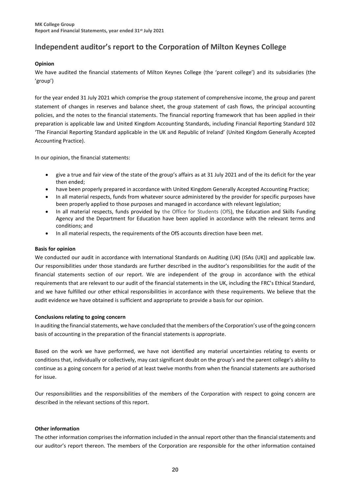# **Independent auditor's report to the Corporation of Milton Keynes College**

# **Opinion**

We have audited the financial statements of Milton Keynes College (the 'parent college') and its subsidiaries (the 'group')

for the year ended 31 July 2021 which comprise the group statement of comprehensive income, the group and parent statement of changes in reserves and balance sheet, the group statement of cash flows, the principal accounting policies, and the notes to the financial statements. The financial reporting framework that has been applied in their preparation is applicable law and United Kingdom Accounting Standards, including Financial Reporting Standard 102 'The Financial Reporting Standard applicable in the UK and Republic of Ireland' (United Kingdom Generally Accepted Accounting Practice).

In our opinion, the financial statements:

- give a true and fair view of the state of the group's affairs as at 31 July 2021 and of the its deficit for the year then ended;
- have been properly prepared in accordance with United Kingdom Generally Accepted Accounting Practice;
- In all material respects, funds from whatever source administered by the provider for specific purposes have been properly applied to those purposes and managed in accordance with relevant legislation;
- In all material respects, funds provided by the Office for Students (OfS), the Education and Skills Funding Agency and the Department for Education have been applied in accordance with the relevant terms and conditions; and
- In all material respects, the requirements of the OfS accounts direction have been met.

#### **Basis for opinion**

We conducted our audit in accordance with International Standards on Auditing (UK) (ISAs (UK)) and applicable law. Our responsibilities under those standards are further described in the auditor's responsibilities for the audit of the financial statements section of our report. We are independent of the group in accordance with the ethical requirements that are relevant to our audit of the financial statements in the UK, including the FRC's Ethical Standard, and we have fulfilled our other ethical responsibilities in accordance with these requirements. We believe that the audit evidence we have obtained is sufficient and appropriate to provide a basis for our opinion.

# **Conclusions relating to going concern**

In auditing the financial statements, we have concluded that the members of the Corporation's use of the going concern basis of accounting in the preparation of the financial statements is appropriate.

Based on the work we have performed, we have not identified any material uncertainties relating to events or conditions that, individually or collectively, may cast significant doubt on the group's and the parent college's ability to continue as a going concern for a period of at least twelve months from when the financial statements are authorised for issue.

Our responsibilities and the responsibilities of the members of the Corporation with respect to going concern are described in the relevant sections of this report.

#### **Other information**

The other information comprises the information included in the annual report other than the financial statements and our auditor's report thereon. The members of the Corporation are responsible for the other information contained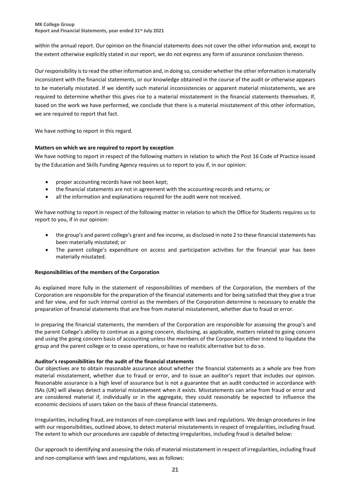within the annual report. Our opinion on the financial statements does not cover the other information and, except to the extent otherwise explicitly stated in our report, we do not express any form of assurance conclusion thereon.

Our responsibility is to read the other information and, in doing so, consider whether the other information is materially inconsistent with the financial statements, or our knowledge obtained in the course of the audit or otherwise appears to be materially misstated. If we identify such material inconsistencies or apparent material misstatements, we are required to determine whether this gives rise to a material misstatement in the financial statements themselves. If, based on the work we have performed, we conclude that there is a material misstatement of this other information, we are required to report that fact.

We have nothing to report in this regard.

# **Matters on which we are required to report by exception**

We have nothing to report in respect of the following matters in relation to which the Post 16 Code of Practice issued by the Education and Skills Funding Agency requires us to report to you if, in our opinion:

- proper accounting records have not been kept;
- the financial statements are not in agreement with the accounting records and returns; or
- all the information and explanations required for the audit were not received.

We have nothing to report in respect of the following matter in relation to which the Office for Students requires us to report to you, if in our opinion:

- the group's and parent college's grant and fee income, as disclosed in note 2 to these financial statements has been materially misstated; or
- The parent college's expenditure on access and participation activities for the financial year has been materially misstated.

# **Responsibilities of the members of the Corporation**

As explained more fully in the statement of responsibilities of members of the Corporation, the members of the Corporation are responsible for the preparation of the financial statements and for being satisfied that they give a true and fair view, and for such internal control as the members of the Corporation determine is necessary to enable the preparation of financial statements that are free from material misstatement, whether due to fraud or error.

In preparing the financial statements, the members of the Corporation are responsible for assessing the group's and the parent College's ability to continue as a going concern, disclosing, as applicable, matters related to going concern and using the going concern basis of accounting unless the members of the Corporation either intend to liquidate the group and the parent college or to cease operations, or have no realistic alternative but to do so.

# **Auditor's responsibilities for the audit of the financial statements**

Our objectives are to obtain reasonable assurance about whether the financial statements as a whole are free from material misstatement, whether due to fraud or error, and to issue an auditor's report that includes our opinion. Reasonable assurance is a high level of assurance but is not a guarantee that an audit conducted in accordance with ISAs (UK) will always detect a material misstatement when it exists. Misstatements can arise from fraud or error and are considered material if, individually or in the aggregate, they could reasonably be expected to influence the economic decisions of users taken on the basis of these financial statements.

Irregularities, including fraud, are instances of non-compliance with laws and regulations. We design procedures in line with our responsibilities, outlined above, to detect material misstatements in respect of irregularities, including fraud. The extent to which our procedures are capable of detecting irregularities, including fraud is detailed below:

Our approach to identifying and assessing the risks of material misstatement in respect of irregularities, including fraud and non-compliance with laws and regulations, was as follows: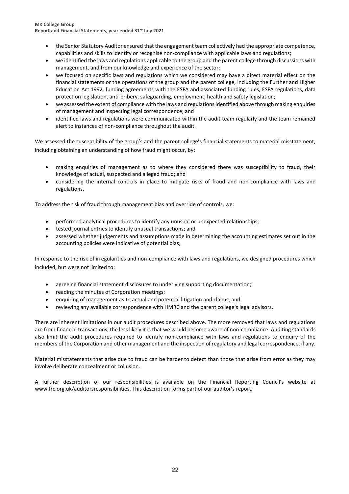- the Senior Statutory Auditor ensured that the engagement team collectively had the appropriate competence, capabilities and skills to identify or recognise non-compliance with applicable laws and regulations;
- we identified the laws and regulations applicable to the group and the parent college through discussions with management, and from our knowledge and experience of the sector;
- we focused on specific laws and regulations which we considered may have a direct material effect on the financial statements or the operations of the group and the parent college, including the Further and Higher Education Act 1992, funding agreements with the ESFA and associated funding rules, ESFA regulations, data protection legislation, anti-bribery, safeguarding, employment, health and safety legislation;
- we assessed the extent of compliance with the laws and regulations identified above through making enquiries of management and inspecting legal correspondence; and
- identified laws and regulations were communicated within the audit team regularly and the team remained alert to instances of non-compliance throughout the audit.

We assessed the susceptibility of the group's and the parent college's financial statements to material misstatement, including obtaining an understanding of how fraud might occur, by:

- making enquiries of management as to where they considered there was susceptibility to fraud, their knowledge of actual, suspected and alleged fraud; and
- considering the internal controls in place to mitigate risks of fraud and non-compliance with laws and regulations.

To address the risk of fraud through management bias and override of controls, we:

- performed analytical procedures to identify any unusual or unexpected relationships;
- tested journal entries to identify unusual transactions; and
- assessed whether judgements and assumptions made in determining the accounting estimates set out in the accounting policies were indicative of potential bias;

In response to the risk of irregularities and non-compliance with laws and regulations, we designed procedures which included, but were not limited to:

- agreeing financial statement disclosures to underlying supporting documentation;
- reading the minutes of Corporation meetings;
- enquiring of management as to actual and potential litigation and claims; and
- reviewing any available correspondence with HMRC and the parent college's legal advisors.

There are inherent limitations in our audit procedures described above. The more removed that laws and regulations are from financial transactions, the less likely it is that we would become aware of non-compliance. Auditing standards also limit the audit procedures required to identify non-compliance with laws and regulations to enquiry of the members of the Corporation and other management and the inspection of regulatory and legal correspondence, if any.

Material misstatements that arise due to fraud can be harder to detect than those that arise from error as they may involve deliberate concealment or collusion.

A further description of our responsibilities is available on the Financial Reporting Council's website at www.frc.org.uk/auditorsresponsibilities. This description forms part of our auditor's report.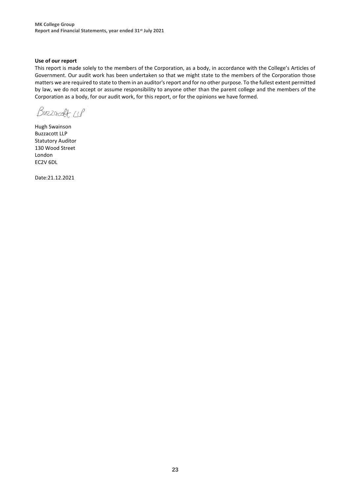#### **Use of our report**

This report is made solely to the members of the Corporation, as a body, in accordance with the College's Articles of Government. Our audit work has been undertaken so that we might state to the members of the Corporation those matters we are required to state to them in an auditor's report and for no other purpose. To the fullest extent permitted by law, we do not accept or assume responsibility to anyone other than the parent college and the members of the Corporation as a body, for our audit work, for this report, or for the opinions we have formed.

Buzzardt, W

Hugh Swainson Buzzacott LLP Statutory Auditor 130 Wood Street London EC2V 6DL

Date:21.12.2021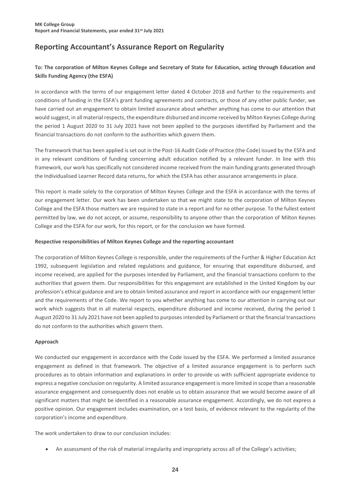# **Reporting Accountant's Assurance Report on Regularity**

# **To: The corporation of Milton Keynes College and Secretary of State for Education, acting through Education and Skills Funding Agency (the ESFA)**

In accordance with the terms of our engagement letter dated 4 October 2018 and further to the requirements and conditions of funding in the ESFA's grant funding agreements and contracts, or those of any other public funder, we have carried out an engagement to obtain limited assurance about whether anything has come to our attention that would suggest, in all material respects, the expenditure disbursed and income received by Milton Keynes College during the period 1 August 2020 to 31 July 2021 have not been applied to the purposes identified by Parliament and the financial transactions do not conform to the authorities which govern them.

The framework that has been applied is set out in the Post-16 Audit Code of Practice (the Code) issued by the ESFA and in any relevant conditions of funding concerning adult education notified by a relevant funder. In line with this framework, our work has specifically not considered income received from the main funding grants generated through the Individualised Learner Record data returns, for which the ESFA has other assurance arrangements in place.

This report is made solely to the corporation of Milton Keynes College and the ESFA in accordance with the terms of our engagement letter. Our work has been undertaken so that we might state to the corporation of Milton Keynes College and the ESFA those matters we are required to state in a report and for no other purpose. To the fullest extent permitted by law, we do not accept, or assume, responsibility to anyone other than the corporation of Milton Keynes College and the ESFA for our work, for this report, or for the conclusion we have formed.

## **Respective responsibilities of Milton Keynes College and the reporting accountant**

The corporation of Milton Keynes College is responsible, under the requirements of the Further & Higher Education Act 1992, subsequent legislation and related regulations and guidance, for ensuring that expenditure disbursed, and income received, are applied for the purposes intended by Parliament, and the financial transactions conform to the authorities that govern them. Our responsibilities for this engagement are established in the United Kingdom by our profession's ethical guidance and are to obtain limited assurance and report in accordance with our engagement letter and the requirements of the Code. We report to you whether anything has come to our attention in carrying out our work which suggests that in all material respects, expenditure disbursed and income received, during the period 1 August 2020 to 31 July 2021 have not been applied to purposes intended by Parliament or that the financial transactions do not conform to the authorities which govern them.

# **Approach**

We conducted our engagement in accordance with the Code issued by the ESFA. We performed a limited assurance engagement as defined in that framework. The objective of a limited assurance engagement is to perform such procedures as to obtain information and explanations in order to provide us with sufficient appropriate evidence to express a negative conclusion on regularity. A limited assurance engagement is more limited in scope than a reasonable assurance engagement and consequently does not enable us to obtain assurance that we would become aware of all significant matters that might be identified in a reasonable assurance engagement. Accordingly, we do not express a positive opinion. Our engagement includes examination, on a test basis, of evidence relevant to the regularity of the corporation's income and expenditure.

The work undertaken to draw to our conclusion includes:

• An assessment of the risk of material irregularity and impropriety across all of the College's activities;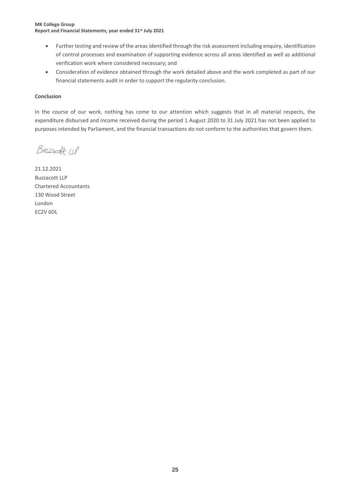- Further testing and review of the areas identified through the risk assessment including enquiry, identification of control processes and examination of supporting evidence across all areas identified as well as additional verification work where considered necessary; and
- Consideration of evidence obtained through the work detailed above and the work completed as part of our financial statements audit in order to support the regularity conclusion.

# **Conclusion**

In the course of our work, nothing has come to our attention which suggests that in all material respects, the expenditure disbursed and income received during the period 1 August 2020 to 31 July 2021 has not been applied to purposes intended by Parliament, and the financial transactions do not conform to the authorities that govern them.

Buzzacoft 11P

21.12.2021 Buzzacott LLP Chartered Accountants 130 Wood Street London EC2V 6DL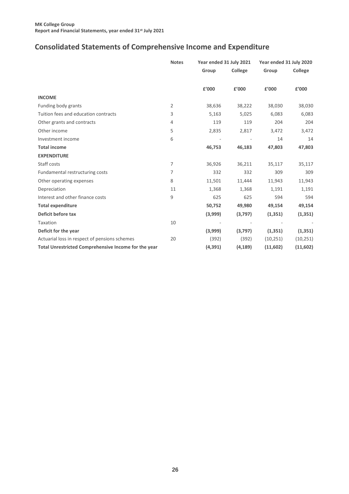# **Consolidated Statements of Comprehensive Income and Expenditure**

|                                                      | <b>Notes</b>   | Year ended 31 July 2021 |          | Year ended 31 July 2020 |           |
|------------------------------------------------------|----------------|-------------------------|----------|-------------------------|-----------|
|                                                      |                | Group                   | College  | Group                   | College   |
|                                                      |                | £'000                   | £'000    | £'000                   | £'000     |
| <b>INCOME</b>                                        |                |                         |          |                         |           |
| Funding body grants                                  | 2              | 38,636                  | 38,222   | 38,030                  | 38,030    |
| Tuition fees and education contracts                 | 3              | 5,163                   | 5,025    | 6,083                   | 6,083     |
| Other grants and contracts                           | 4              | 119                     | 119      | 204                     | 204       |
| Other income                                         | 5              | 2,835                   | 2,817    | 3,472                   | 3,472     |
| Investment income                                    | 6              |                         |          | 14                      | 14        |
| <b>Total income</b>                                  |                | 46,753                  | 46,183   | 47,803                  | 47,803    |
| <b>EXPENDITURE</b>                                   |                |                         |          |                         |           |
| Staff costs                                          | $\overline{7}$ | 36,926                  | 36,211   | 35,117                  | 35,117    |
| Fundamental restructuring costs                      | 7              | 332                     | 332      | 309                     | 309       |
| Other operating expenses                             | 8              | 11,501                  | 11,444   | 11,943                  | 11,943    |
| Depreciation                                         | 11             | 1,368                   | 1,368    | 1,191                   | 1,191     |
| Interest and other finance costs                     | 9              | 625                     | 625      | 594                     | 594       |
| <b>Total expenditure</b>                             |                | 50,752                  | 49,980   | 49,154                  | 49,154    |
| Deficit before tax                                   |                | (3,999)                 | (3,797)  | (1, 351)                | (1, 351)  |
| Taxation                                             | 10             |                         |          |                         |           |
| Deficit for the year                                 |                | (3,999)                 | (3,797)  | (1, 351)                | (1, 351)  |
| Actuarial loss in respect of pensions schemes        | 20             | (392)                   | (392)    | (10, 251)               | (10, 251) |
| Total Unrestricted Comprehensive Income for the year |                | (4, 391)                | (4, 189) | (11,602)                | (11,602)  |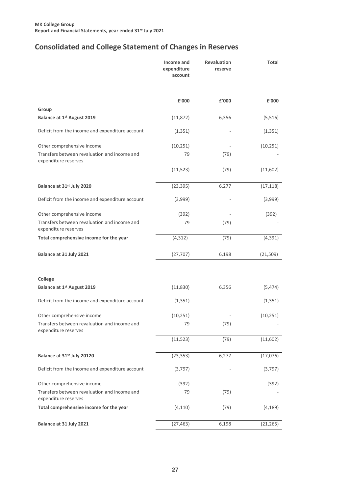# **Consolidated and College Statement of Changes in Reserves**

|                                                                      | Income and<br>expenditure<br>account | <b>Revaluation</b><br>reserve | Total     |
|----------------------------------------------------------------------|--------------------------------------|-------------------------------|-----------|
|                                                                      |                                      |                               |           |
|                                                                      | £'000                                | £'000                         | £'000     |
| Group                                                                |                                      |                               |           |
| Balance at 1st August 2019                                           | (11, 872)                            | 6,356                         | (5, 516)  |
| Deficit from the income and expenditure account                      | (1, 351)                             |                               | (1, 351)  |
| Other comprehensive income                                           | (10, 251)                            |                               | (10, 251) |
| Transfers between revaluation and income and<br>expenditure reserves | 79                                   | (79)                          |           |
|                                                                      | (11, 523)                            | (79)                          | (11,602)  |
| Balance at 31 <sup>st</sup> July 2020                                | (23, 395)                            | 6,277                         | (17, 118) |
| Deficit from the income and expenditure account                      | (3,999)                              |                               | (3,999)   |
| Other comprehensive income                                           | (392)                                |                               | (392)     |
| Transfers between revaluation and income and<br>expenditure reserves | 79                                   | (79)                          |           |
| Total comprehensive income for the year                              | (4, 312)                             | (79)                          | (4, 391)  |
| Balance at 31 July 2021                                              | (27, 707)                            | 6,198                         | (21, 509) |
|                                                                      |                                      |                               |           |
| College                                                              |                                      |                               |           |
| Balance at 1st August 2019                                           | (11,830)                             | 6,356                         | (5, 474)  |
| Deficit from the income and expenditure account                      | (1, 351)                             |                               | (1, 351)  |
| Other comprehensive income                                           | (10, 251)                            |                               | (10, 251) |
| Transfers between revaluation and income and<br>expenditure reserves | 79                                   | (79)                          |           |
|                                                                      | (11, 523)                            | (79)                          | (11,602)  |
| Balance at 31 <sup>st</sup> July 20120                               | (23, 353)                            | 6,277                         | (17,076)  |
| Deficit from the income and expenditure account                      | (3,797)                              |                               | (3, 797)  |
| Other comprehensive income                                           | (392)                                |                               | (392)     |
| Transfers between revaluation and income and<br>expenditure reserves | 79                                   | (79)                          |           |
| Total comprehensive income for the year                              | (4, 110)                             | (79)                          | (4, 189)  |
| Balance at 31 July 2021                                              | (27, 463)                            | 6,198                         | (21, 265) |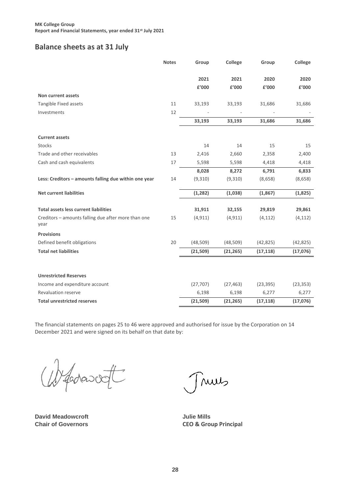# **Balance sheets as at 31 July**

|                                                             | <b>Notes</b> | Group     | College   | Group     | College   |
|-------------------------------------------------------------|--------------|-----------|-----------|-----------|-----------|
|                                                             |              | 2021      | 2021      | 2020      | 2020      |
|                                                             |              | £'000     | £'000     | £'000     | £'000     |
| <b>Non current assets</b>                                   |              |           |           |           |           |
| Tangible Fixed assets                                       | 11           | 33,193    | 33,193    | 31,686    | 31,686    |
| Investments                                                 | 12           |           |           |           |           |
|                                                             |              | 33,193    | 33,193    | 31,686    | 31,686    |
| <b>Current assets</b>                                       |              |           |           |           |           |
| Stocks                                                      |              | 14        | 14        | 15        | 15        |
| Trade and other receivables                                 | 13           | 2,416     | 2,660     | 2,358     | 2,400     |
| Cash and cash equivalents                                   | 17           | 5,598     | 5,598     | 4,418     | 4,418     |
|                                                             |              | 8,028     | 8,272     | 6,791     | 6,833     |
| Less: Creditors - amounts falling due within one year       | 14           | (9,310)   | (9,310)   | (8,658)   | (8,658)   |
| <b>Net current liabilities</b>                              |              | (1, 282)  | (1,038)   | (1,867)   | (1,825)   |
| <b>Total assets less current liabilities</b>                |              | 31,911    | 32,155    | 29,819    | 29,861    |
| Creditors - amounts falling due after more than one<br>year | 15           | (4, 911)  | (4, 911)  | (4, 112)  | (4, 112)  |
| <b>Provisions</b>                                           |              |           |           |           |           |
| Defined benefit obligations                                 | 20           | (48, 509) | (48, 509) | (42, 825) | (42, 825) |
| <b>Total net liabilities</b>                                |              | (21, 509) | (21, 265) | (17, 118) | (17,076)  |
|                                                             |              |           |           |           |           |
| <b>Unrestricted Reserves</b>                                |              |           |           |           |           |
| Income and expenditure account                              |              | (27, 707) | (27, 463) | (23, 395) | (23, 353) |
| <b>Revaluation reserve</b>                                  |              | 6,198     | 6,198     | 6,277     | 6,277     |
| <b>Total unrestricted reserves</b>                          |              | (21, 509) | (21, 265) | (17, 118) | (17,076)  |

The financial statements on pages 25 to 46 were approved and authorised for issue by the Corporation on 14 December 2021 and were signed on its behalf on that date by:

Madascott

**David Meadowcroft Contract Contract Contract Contract Contract Contract Contract Contract Contract Contract Contract Contract Contract Contract Contract Contract Contract Contract Contract Contract Contract Contract Con** 

juils

**Chair of Governors CEO & Group Principal**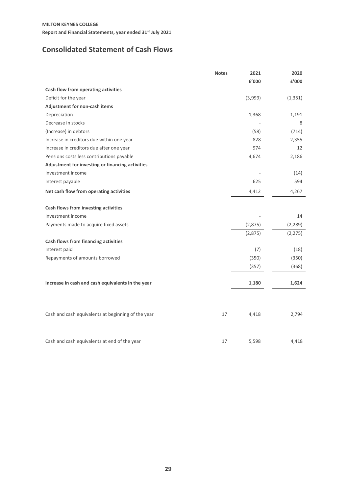# **Consolidated Statement of Cash Flows**

|                                                    | <b>Notes</b> | 2021    | 2020     |
|----------------------------------------------------|--------------|---------|----------|
|                                                    |              | £'000   | £'000    |
| Cash flow from operating activities                |              |         |          |
| Deficit for the year                               |              | (3,999) | (1, 351) |
| Adjustment for non-cash items                      |              |         |          |
| Depreciation                                       |              | 1,368   | 1,191    |
| Decrease in stocks                                 |              |         | 8        |
| (Increase) in debtors                              |              | (58)    | (714)    |
| Increase in creditors due within one year          |              | 828     | 2,355    |
| Increase in creditors due after one year           |              | 974     | 12       |
| Pensions costs less contributions payable          |              | 4,674   | 2,186    |
| Adjustment for investing or financing activities   |              |         |          |
| Investment income                                  |              |         | (14)     |
| Interest payable                                   |              | 625     | 594      |
| Net cash flow from operating activities            |              | 4,412   | 4,267    |
| Cash flows from investing activities               |              |         |          |
| Investment income                                  |              |         | 14       |
| Payments made to acquire fixed assets              |              | (2,875) | (2, 289) |
|                                                    |              | (2,875) | (2, 275) |
| Cash flows from financing activities               |              |         |          |
| Interest paid                                      |              | (7)     | (18)     |
| Repayments of amounts borrowed                     |              | (350)   | (350)    |
|                                                    |              | (357)   | (368)    |
| Increase in cash and cash equivalents in the year  |              | 1,180   | 1,624    |
|                                                    |              |         |          |
| Cash and cash equivalents at beginning of the year | 17           | 4,418   | 2,794    |
| Cash and cash equivalents at end of the year       | 17           | 5,598   | 4,418    |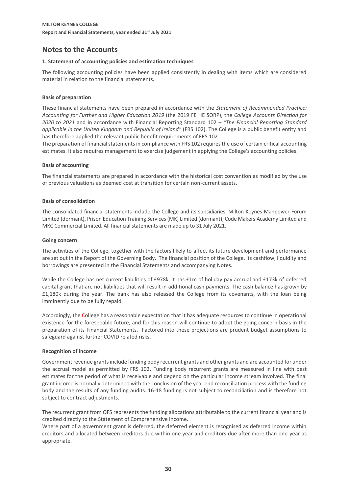# **Notes to the Accounts**

# **1. Statement of accounting policies and estimation techniques**

The following accounting policies have been applied consistently in dealing with items which are considered material in relation to the financial statements.

# **Basis of preparation**

These financial statements have been prepared in accordance with the *Statement of Recommended Practice: Accounting for Further and Higher Education 2019* (the 2019 FE HE SORP), the *College Accounts Direction for 2020 to 2021* and in accordance with Financial Reporting Standard 102 – *"The Financial Reporting Standard applicable in the United Kingdom and Republic of Ireland"* (FRS 102). The College is a public benefit entity and has therefore applied the relevant public benefit requirements of FRS 102.

The preparation of financial statements in compliance with FRS 102 requires the use of certain critical accounting estimates. It also requires management to exercise judgement in applying the College's accounting policies.

# **Basis of accounting**

The financial statements are prepared in accordance with the historical cost convention as modified by the use of previous valuations as deemed cost at transition for certain non-current assets.

#### **Basis of consolidation**

The consolidated financial statements include the College and its subsidiaries, Milton Keynes Manpower Forum Limited (dormant), Prison Education Training Services (MK) Limited (dormant), Code Makers Academy Limited and MKC Commercial Limited. All financial statements are made up to 31 July 2021.

#### **Going concern**

The activities of the College, together with the factors likely to affect its future development and performance are set out in the Report of the Governing Body. The financial position of the College, its cashflow, liquidity and borrowings are presented in the Financial Statements and accompanying Notes.

While the College has net current liabilities of £978k, it has £1m of holiday pay accrual and £173k of deferred capital grant that are not liabilities that will result in additional cash payments. The cash balance has grown by £1,180k during the year. The bank has also released the College from its covenants, with the loan being imminently due to be fully repaid.

Accordingly, the College has a reasonable expectation that it has adequate resources to continue in operational existence for the foreseeable future, and for this reason will continue to adopt the going concern basis in the preparation of its Financial Statements. Factored into these projections are prudent budget assumptions to safeguard against further COVID related risks.

#### **Recognition of income**

Government revenue grants include funding body recurrent grants and other grants and are accounted for under the accrual model as permitted by FRS 102. Funding body recurrent grants are measured in line with best estimates for the period of what is receivable and depend on the particular income stream involved. The final grant income is normally determined with the conclusion of the year end reconciliation process with the funding body and the results of any funding audits. 16-18 funding is not subject to reconciliation and is therefore not subject to contract adjustments.

The recurrent grant from OFS represents the funding allocations attributable to the current financial year and is credited directly to the Statement of Comprehensive Income.

Where part of a government grant is deferred, the deferred element is recognised as deferred income within creditors and allocated between creditors due within one year and creditors due after more than one year as appropriate.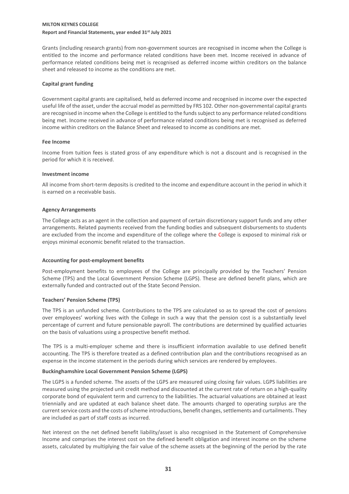#### **MILTON KEYNES COLLEGE Report and Financial Statements, year ended 31st July 2021**

Grants (including research grants) from non-government sources are recognised in income when the College is entitled to the income and performance related conditions have been met. Income received in advance of performance related conditions being met is recognised as deferred income within creditors on the balance sheet and released to income as the conditions are met.

#### **Capital grant funding**

Government capital grants are capitalised, held as deferred income and recognised in income over the expected useful life of the asset, under the accrual model as permitted by FRS 102. Other non-governmental capital grants are recognised in income when the College is entitled to the funds subject to any performance related conditions being met. Income received in advance of performance related conditions being met is recognised as deferred income within creditors on the Balance Sheet and released to income as conditions are met.

## **Fee Income**

Income from tuition fees is stated gross of any expenditure which is not a discount and is recognised in the period for which it is received.

#### **Investment income**

All income from short-term deposits is credited to the income and expenditure account in the period in which it is earned on a receivable basis.

## **Agency Arrangements**

The College acts as an agent in the collection and payment of certain discretionary support funds and any other arrangements. Related payments received from the funding bodies and subsequent disbursements to students are excluded from the income and expenditure of the college where the College is exposed to minimal risk or enjoys minimal economic benefit related to the transaction.

#### **Accounting for post-employment benefits**

Post-employment benefits to employees of the College are principally provided by the Teachers' Pension Scheme (TPS) and the Local Government Pension Scheme (LGPS). These are defined benefit plans, which are externally funded and contracted out of the State Second Pension.

#### **Teachers' Pension Scheme (TPS)**

The TPS is an unfunded scheme. Contributions to the TPS are calculated so as to spread the cost of pensions over employees' working lives with the College in such a way that the pension cost is a substantially level percentage of current and future pensionable payroll. The contributions are determined by qualified actuaries on the basis of valuations using a prospective benefit method.

The TPS is a multi-employer scheme and there is insufficient information available to use defined benefit accounting. The TPS is therefore treated as a defined contribution plan and the contributions recognised as an expense in the income statement in the periods during which services are rendered by employees.

# **Buckinghamshire Local Government Pension Scheme (LGPS)**

The LGPS is a funded scheme. The assets of the LGPS are measured using closing fair values. LGPS liabilities are measured using the projected unit credit method and discounted at the current rate of return on a high-quality corporate bond of equivalent term and currency to the liabilities. The actuarial valuations are obtained at least triennially and are updated at each balance sheet date. The amounts charged to operating surplus are the current service costs and the costs of scheme introductions, benefit changes, settlements and curtailments. They are included as part of staff costs as incurred.

Net interest on the net defined benefit liability/asset is also recognised in the Statement of Comprehensive Income and comprises the interest cost on the defined benefit obligation and interest income on the scheme assets, calculated by multiplying the fair value of the scheme assets at the beginning of the period by the rate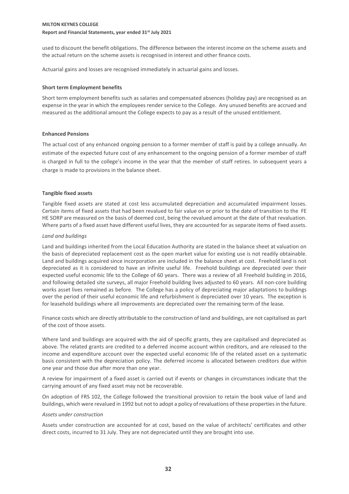#### **MILTON KEYNES COLLEGE Report and Financial Statements, year ended 31st July 2021**

used to discount the benefit obligations. The difference between the interest income on the scheme assets and the actual return on the scheme assets is recognised in interest and other finance costs.

Actuarial gains and losses are recognised immediately in actuarial gains and losses.

#### **Short term Employment benefits**

Short term employment benefits such as salaries and compensated absences (holiday pay) are recognised as an expense in the year in which the employees render service to the College. Any unused benefits are accrued and measured as the additional amount the College expects to pay as a result of the unused entitlement.

## **Enhanced Pensions**

The actual cost of any enhanced ongoing pension to a former member of staff is paid by a college annually. An estimate of the expected future cost of any enhancement to the ongoing pension of a former member of staff is charged in full to the college's income in the year that the member of staff retires. In subsequent years a charge is made to provisions in the balance sheet.

## **Tangible fixed assets**

Tangible fixed assets are stated at cost less accumulated depreciation and accumulated impairment losses. Certain items of fixed assets that had been revalued to fair value on or prior to the date of transition to the FE HE SORP are measured on the basis of deemed cost, being the revalued amount at the date of that revaluation. Where parts of a fixed asset have different useful lives, they are accounted for as separate items of fixed assets.

#### *Land and buildings*

Land and buildings inherited from the Local Education Authority are stated in the balance sheet at valuation on the basis of depreciated replacement cost as the open market value for existing use is not readily obtainable. Land and buildings acquired since incorporation are included in the balance sheet at cost. Freehold land is not depreciated as it is considered to have an infinite useful life. Freehold buildings are depreciated over their expected useful economic life to the College of 60 years. There was a review of all Freehold building in 2016, and following detailed site surveys, all major Freehold building lives adjusted to 60 years. All non-core building works asset lives remained as before. The College has a policy of depreciating major adaptations to buildings over the period of their useful economic life and refurbishment is depreciated over 10 years. The exception is for leasehold buildings where all improvements are depreciated over the remaining term of the lease.

Finance costs which are directly attributable to the construction of land and buildings, are not capitalised as part of the cost of those assets.

Where land and buildings are acquired with the aid of specific grants, they are capitalised and depreciated as above. The related grants are credited to a deferred income account within creditors, and are released to the income and expenditure account over the expected useful economic life of the related asset on a systematic basis consistent with the depreciation policy. The deferred income is allocated between creditors due within one year and those due after more than one year.

A review for impairment of a fixed asset is carried out if events or changes in circumstances indicate that the carrying amount of any fixed asset may not be recoverable.

On adoption of FRS 102, the College followed the transitional provision to retain the book value of land and buildings, which were revalued in 1992 but not to adopt a policy of revaluations of these properties in the future.

#### *Assets under construction*

Assets under construction are accounted for at cost, based on the value of architects' certificates and other direct costs, incurred to 31 July. They are not depreciated until they are brought into use.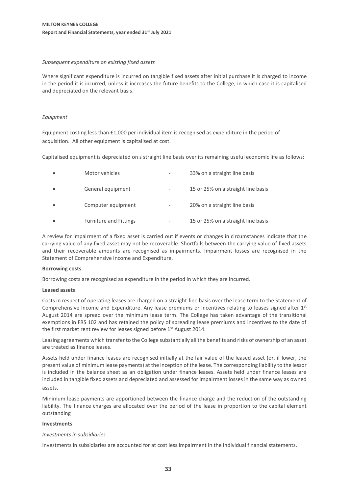#### *Subsequent expenditure on existing fixed assets*

Where significant expenditure is incurred on tangible fixed assets after initial purchase it is charged to income in the period it is incurred, unless it increases the future benefits to the College, in which case it is capitalised and depreciated on the relevant basis.

## *Equipment*

Equipment costing less than £1,000 per individual item is recognised as expenditure in the period of acquisition. All other equipment is capitalised at cost.

Capitalised equipment is depreciated on s straight line basis over its remaining useful economic life as follows:

| $\bullet$ | Motor vehicles                | $\overline{\phantom{a}}$ | 33% on a straight line basis       |
|-----------|-------------------------------|--------------------------|------------------------------------|
| $\bullet$ | General equipment             | $\overline{\phantom{a}}$ | 15 or 25% on a straight line basis |
|           | Computer equipment            | -                        | 20% on a straight line basis       |
|           | <b>Furniture and Fittings</b> |                          | 15 or 25% on a straight line basis |

A review for impairment of a fixed asset is carried out if events or changes in circumstances indicate that the carrying value of any fixed asset may not be recoverable. Shortfalls between the carrying value of fixed assets and their recoverable amounts are recognised as impairments. Impairment losses are recognised in the Statement of Comprehensive Income and Expenditure.

#### **Borrowing costs**

Borrowing costs are recognised as expenditure in the period in which they are incurred.

#### **Leased assets**

Costs in respect of operating leases are charged on a straight-line basis over the lease term to the Statement of Comprehensive Income and Expenditure. Any lease premiums or incentives relating to leases signed after  $1<sup>st</sup>$ August 2014 are spread over the minimum lease term. The College has taken advantage of the transitional exemptions in FRS 102 and has retained the policy of spreading lease premiums and incentives to the date of the first market rent review for leases signed before 1<sup>st</sup> August 2014.

Leasing agreements which transfer to the College substantially all the benefits and risks of ownership of an asset are treated as finance leases.

Assets held under finance leases are recognised initially at the fair value of the leased asset (or, if lower, the present value of minimum lease payments) at the inception of the lease. The corresponding liability to the lessor is included in the balance sheet as an obligation under finance leases. Assets held under finance leases are included in tangible fixed assets and depreciated and assessed for impairment losses in the same way as owned assets.

Minimum lease payments are apportioned between the finance charge and the reduction of the outstanding liability. The finance charges are allocated over the period of the lease in proportion to the capital element outstanding

#### **Investments**

#### *Investments in subsidiaries*

Investments in subsidiaries are accounted for at cost less impairment in the individual financial statements.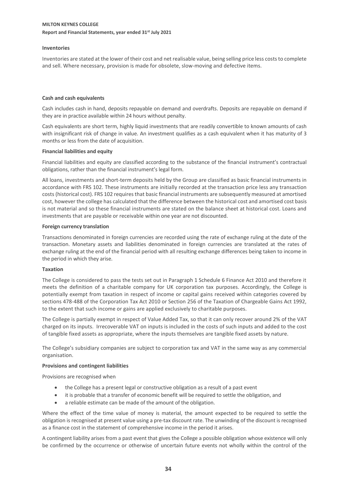#### **MILTON KEYNES COLLEGE Report and Financial Statements, year ended 31st July 2021**

#### **Inventories**

Inventories are stated at the lower of their cost and net realisable value, being selling price less costs to complete and sell. Where necessary, provision is made for obsolete, slow-moving and defective items.

#### **Cash and cash equivalents**

Cash includes cash in hand, deposits repayable on demand and overdrafts. Deposits are repayable on demand if they are in practice available within 24 hours without penalty.

Cash equivalents are short term, highly liquid investments that are readily convertible to known amounts of cash with insignificant risk of change in value. An investment qualifies as a cash equivalent when it has maturity of 3 months or less from the date of acquisition.

#### **Financial liabilities and equity**

Financial liabilities and equity are classified according to the substance of the financial instrument's contractual obligations, rather than the financial instrument's legal form.

All loans, investments and short-term deposits held by the Group are classified as basic financial instruments in accordance with FRS 102. These instruments are initially recorded at the transaction price less any transaction costs (historical cost). FRS 102 requires that basic financial instruments are subsequently measured at amortised cost, however the college has calculated that the difference between the historical cost and amortised cost basis is not material and so these financial instruments are stated on the balance sheet at historical cost. Loans and investments that are payable or receivable within one year are not discounted.

#### **Foreign currency translation**

Transactions denominated in foreign currencies are recorded using the rate of exchange ruling at the date of the transaction. Monetary assets and liabilities denominated in foreign currencies are translated at the rates of exchange ruling at the end of the financial period with all resulting exchange differences being taken to income in the period in which they arise.

#### **Taxation**

The College is considered to pass the tests set out in Paragraph 1 Schedule 6 Finance Act 2010 and therefore it meets the definition of a charitable company for UK corporation tax purposes. Accordingly, the College is potentially exempt from taxation in respect of income or capital gains received within categories covered by sections 478-488 of the Corporation Tax Act 2010 or Section 256 of the Taxation of Chargeable Gains Act 1992, to the extent that such income or gains are applied exclusively to charitable purposes.

The College is partially exempt in respect of Value Added Tax, so that it can only recover around 2% of the VAT charged on its inputs. Irrecoverable VAT on inputs is included in the costs of such inputs and added to the cost of tangible fixed assets as appropriate, where the inputs themselves are tangible fixed assets by nature.

The College's subsidiary companies are subject to corporation tax and VAT in the same way as any commercial organisation.

#### **Provisions and contingent liabilities**

Provisions are recognised when

- the College has a present legal or constructive obligation as a result of a past event
- it is probable that a transfer of economic benefit will be required to settle the obligation, and
- a reliable estimate can be made of the amount of the obligation.

Where the effect of the time value of money is material, the amount expected to be required to settle the obligation is recognised at present value using a pre-tax discount rate. The unwinding of the discount is recognised as a finance cost in the statement of comprehensive income in the period it arises.

A contingent liability arises from a past event that gives the College a possible obligation whose existence will only be confirmed by the occurrence or otherwise of uncertain future events not wholly within the control of the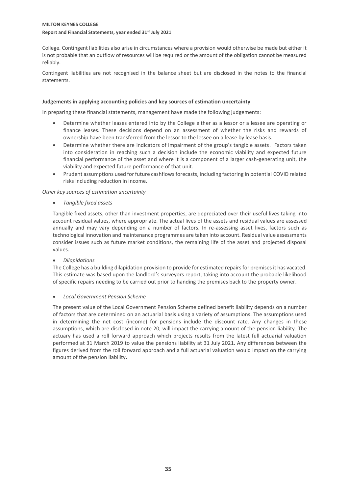#### **MILTON KEYNES COLLEGE Report and Financial Statements, year ended 31st July 2021**

College. Contingent liabilities also arise in circumstances where a provision would otherwise be made but either it is not probable that an outflow of resources will be required or the amount of the obligation cannot be measured reliably.

Contingent liabilities are not recognised in the balance sheet but are disclosed in the notes to the financial statements.

## **Judgements in applying accounting policies and key sources of estimation uncertainty**

In preparing these financial statements, management have made the following judgements:

- Determine whether leases entered into by the College either as a lessor or a lessee are operating or finance leases. These decisions depend on an assessment of whether the risks and rewards of ownership have been transferred from the lessor to the lessee on a lease by lease basis.
- Determine whether there are indicators of impairment of the group's tangible assets. Factors taken into consideration in reaching such a decision include the economic viability and expected future financial performance of the asset and where it is a component of a larger cash-generating unit, the viability and expected future performance of that unit.
- Prudent assumptions used for future cashflows forecasts, including factoring in potential COVID related risks including reduction in income.

*Other key sources of estimation uncertainty*

• *Tangible fixed assets*

Tangible fixed assets, other than investment properties, are depreciated over their useful lives taking into account residual values, where appropriate. The actual lives of the assets and residual values are assessed annually and may vary depending on a number of factors. In re-assessing asset lives, factors such as technological innovation and maintenance programmes are taken into account. Residual value assessments consider issues such as future market conditions, the remaining life of the asset and projected disposal values.

#### • *Dilapidations*

The College has a building dilapidation provision to provide for estimated repairs for premises it has vacated. This estimate was based upon the landlord's surveyors report, taking into account the probable likelihood of specific repairs needing to be carried out prior to handing the premises back to the property owner.

#### • *Local Government Pension Scheme*

The present value of the Local Government Pension Scheme defined benefit liability depends on a number of factors that are determined on an actuarial basis using a variety of assumptions. The assumptions used in determining the net cost (income) for pensions include the discount rate. Any changes in these assumptions, which are disclosed in note 20, will impact the carrying amount of the pension liability. The actuary has used a roll forward approach which projects results from the latest full actuarial valuation performed at 31 March 2019 to value the pensions liability at 31 July 2021. Any differences between the figures derived from the roll forward approach and a full actuarial valuation would impact on the carrying amount of the pension liability**.**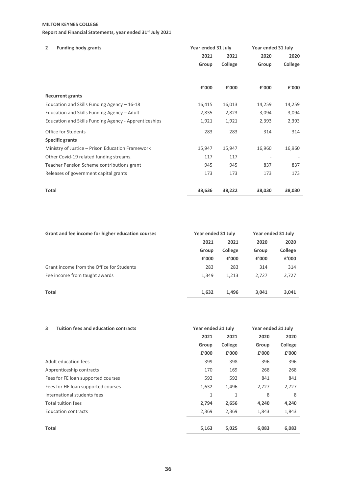**Report and Financial Statements, year ended 31st July 2021**

| $\overline{2}$          | <b>Funding body grants</b>                                   | Year ended 31 July |         | Year ended 31 July       |         |
|-------------------------|--------------------------------------------------------------|--------------------|---------|--------------------------|---------|
|                         |                                                              | 2021               | 2021    | 2020                     | 2020    |
|                         |                                                              | Group              | College | Group                    | College |
|                         |                                                              |                    |         |                          |         |
|                         |                                                              | £'000              | £'000   | £'000                    | £'000   |
| <b>Recurrent grants</b> |                                                              |                    |         |                          |         |
|                         | Education and Skills Funding Agency $-16-18$                 | 16,415             | 16,013  | 14,259                   | 14,259  |
|                         | Education and Skills Funding Agency - Adult                  | 2,835              | 2,823   | 3,094                    | 3,094   |
|                         | <b>Education and Skills Funding Agency - Apprenticeships</b> | 1,921              | 1,921   | 2,393                    | 2,393   |
| Office for Students     |                                                              | 283                | 283     | 314                      | 314     |
| <b>Specific grants</b>  |                                                              |                    |         |                          |         |
|                         | Ministry of Justice - Prison Education Framework             | 15,947             | 15,947  | 16,960                   | 16,960  |
|                         | Other Covid-19 related funding streams.                      | 117                | 117     | $\overline{\phantom{a}}$ |         |
|                         | Teacher Pension Scheme contributions grant                   | 945                | 945     | 837                      | 837     |
|                         | Releases of government capital grants                        | 173                | 173     | 173                      | 173     |
|                         |                                                              |                    |         |                          |         |
| Total                   |                                                              | 38,636             | 38,222  | 38,030                   | 38,030  |

| Grant and fee income for higher education courses | Year ended 31 July |                | Year ended 31 July |         |
|---------------------------------------------------|--------------------|----------------|--------------------|---------|
|                                                   | 2021               | 2021           | 2020               | 2020    |
|                                                   | Group              | <b>College</b> | Group              | College |
|                                                   | £'000              | f'000          | £'000              | £'000   |
| Grant income from the Office for Students         | 283                | 283            | 314                | 314     |
| Fee income from taught awards                     | 1.349              | 1.213          | 2.727              | 2,727   |
|                                                   |                    |                |                    |         |
| <b>Total</b>                                      | 1,632              | 1.496          | 3,041              | 3,041   |

| <b>Tuition fees and education contracts</b><br>3 | Year ended 31 July |         | Year ended 31 July |         |
|--------------------------------------------------|--------------------|---------|--------------------|---------|
|                                                  | 2021               | 2021    | 2020               | 2020    |
|                                                  | Group              | College | Group              | College |
|                                                  | £'000              | £'000   | £'000              | £'000   |
| Adult education fees                             | 399                | 398     | 396                | 396     |
| Apprenticeship contracts                         | 170                | 169     | 268                | 268     |
| Fees for FE loan supported courses               | 592                | 592     | 841                | 841     |
| Fees for HE loan supported courses               | 1,632              | 1,496   | 2,727              | 2,727   |
| International students fees                      | 1                  | 1       | 8                  | 8       |
| <b>Total tuition fees</b>                        | 2,794              | 2,656   | 4,240              | 4,240   |
| <b>Education contracts</b>                       | 2,369              | 2,369   | 1,843              | 1,843   |
|                                                  |                    |         |                    |         |
| <b>Total</b>                                     | 5,163              | 5,025   | 6,083              | 6,083   |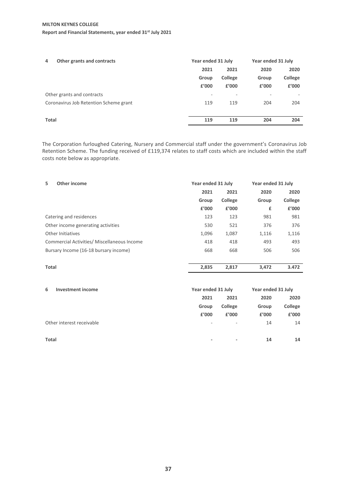| 4     | Other grants and contracts             |       | Year ended 31 July |       | Year ended 31 July |  |  |
|-------|----------------------------------------|-------|--------------------|-------|--------------------|--|--|
|       |                                        | 2021  | 2021               | 2020  | 2020               |  |  |
|       |                                        | Group | College            | Group | College            |  |  |
|       |                                        | £'000 | £'000              | £'000 | £'000              |  |  |
|       | Other grants and contracts             | ٠     | -                  | ۰     |                    |  |  |
|       | Coronavirus Job Retention Scheme grant | 119   | 119                | 204   | 204                |  |  |
|       |                                        |       |                    |       |                    |  |  |
| Total |                                        | 119   | 119                | 204   | 204                |  |  |

The Corporation furloughed Catering, Nursery and Commercial staff under the government's Coronavirus Job Retention Scheme. The funding received of £119,374 relates to staff costs which are included within the staff costs note below as appropriate.

| Other income<br>5.                          | Year ended 31 July |         | Year ended 31 July |         |
|---------------------------------------------|--------------------|---------|--------------------|---------|
|                                             | 2021               | 2021    | 2020               | 2020    |
|                                             | Group              | College | Group              | College |
|                                             | £'000              | £'000   | £                  | £'000   |
| Catering and residences                     | 123                | 123     | 981                | 981     |
| Other income generating activities          | 530                | 521     | 376                | 376     |
| Other Initiatives                           | 1,096              | 1,087   | 1,116              | 1,116   |
| Commercial Activities/ Miscellaneous Income | 418                | 418     | 493                | 493     |
| Bursary Income (16-18 bursary income)       | 668                | 668     | 506                | 506     |
|                                             |                    |         |                    |         |
| Total                                       | 2,835              | 2,817   | 3,472              | 3.472   |

| 6            | <b>Investment income</b>  | Year ended 31 July       |         | Year ended 31 July |         |
|--------------|---------------------------|--------------------------|---------|--------------------|---------|
|              |                           | 2021                     | 2021    | 2020               | 2020    |
|              |                           | Group                    | College | Group              | College |
|              |                           | £'000                    | £'000   | £'000              | £'000   |
|              | Other interest receivable | $\overline{\phantom{a}}$ | ٠       | 14                 | 14      |
| <b>Total</b> |                           | ٠                        | ۰       | 14                 | 14      |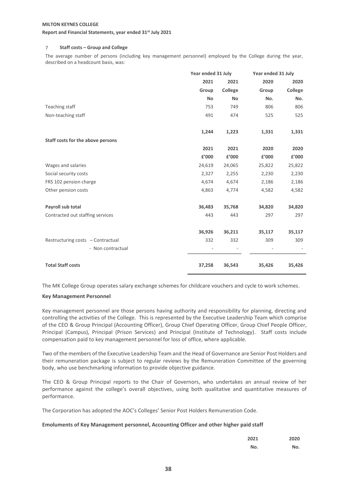#### **Report and Financial Statements, year ended 31st July 2021**

#### 7 **Staff costs – Group and College**

The average number of persons (including key management personnel) employed by the College during the year, described on a headcount basis, was:

|                                   | Year ended 31 July |           | Year ended 31 July |         |
|-----------------------------------|--------------------|-----------|--------------------|---------|
|                                   | 2021               | 2021      | 2020               | 2020    |
|                                   | Group              | College   | Group              | College |
|                                   | <b>No</b>          | <b>No</b> | No.                | No.     |
| Teaching staff                    | 753                | 749       | 806                | 806     |
| Non-teaching staff                | 491                | 474       | 525                | 525     |
|                                   | 1,244              | 1,223     | 1,331              | 1,331   |
| Staff costs for the above persons |                    |           |                    |         |
|                                   | 2021               | 2021      | 2020               | 2020    |
|                                   | £'000              | £'000     | £'000              | £'000   |
| Wages and salaries                | 24,619             | 24,065    | 25,822             | 25,822  |
| Social security costs             | 2,327              | 2,255     | 2,230              | 2,230   |
| FRS 102 pension charge            | 4,674              | 4,674     | 2,186              | 2,186   |
| Other pension costs               | 4,863              | 4,774     | 4,582              | 4,582   |
| Payroll sub total                 | 36,483             | 35,768    | 34,820             | 34,820  |
| Contracted out staffing services  | 443                | 443       | 297                | 297     |
|                                   | 36,926             | 36,211    | 35,117             | 35,117  |
| Restructuring costs - Contractual | 332                | 332       | 309                | 309     |
| - Non contractual                 |                    |           |                    |         |
| <b>Total Staff costs</b>          | 37,258             | 36,543    | 35,426             | 35,426  |

The MK College Group operates salary exchange schemes for childcare vouchers and cycle to work schemes.

#### **Key Management Personnel**

Key management personnel are those persons having authority and responsibility for planning, directing and controlling the activities of the College. This is represented by the Executive Leadership Team which comprise of the CEO & Group Principal (Accounting Officer), Group Chief Operating Officer, Group Chief People Officer, Principal (Campus), Principal (Prison Services) and Principal (Institute of Technology). Staff costs include compensation paid to key management personnel for loss of office, where applicable.

Two of the members of the Executive Leadership Team and the Head of Governance are Senior Post Holders and their remuneration package is subject to regular reviews by the Remuneration Committee of the governing body, who use benchmarking information to provide objective guidance.

The CEO & Group Principal reports to the Chair of Governors, who undertakes an annual review of her performance against the college's overall objectives, using both qualitative and quantitative measures of performance.

The Corporation has adopted the AOC's Colleges' Senior Post Holders Remuneration Code.

#### **Emoluments of Key Management personnel, Accounting Officer and other higher paid staff**

| 2021 | 2020 |
|------|------|
| No.  | No.  |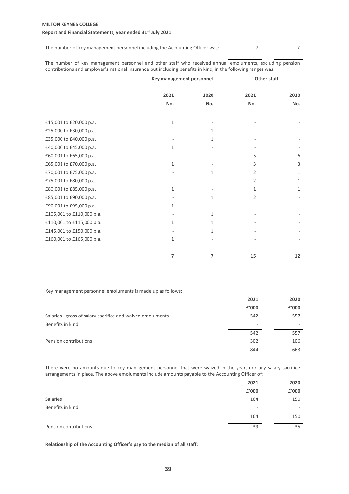The number of key management personnel including the Accounting Officer was: 7 7 7 7 7 7 7

The number of key management personnel and other staff who received annual emoluments, excluding pension contributions and employer's national insurance but including benefits in kind, in the following ranges was:

|                           |                | Key management personnel |                | Other staff |
|---------------------------|----------------|--------------------------|----------------|-------------|
|                           | 2021           | 2020                     | 2021           | 2020        |
|                           | No.            | No.                      | No.            | No.         |
| £15,001 to £20,000 p.a.   | $\mathbf{1}$   |                          |                |             |
| £25,000 to £30,000 p.a.   |                | $\mathbf{1}$             |                |             |
| £35,000 to £40,000 p.a.   |                | 1                        |                |             |
| £40,000 to £45,000 p.a.   | $\mathbf{1}$   |                          |                |             |
| £60,001 to £65,000 p.a.   |                |                          | 5              | 6           |
| £65,001 to £70,000 p.a.   | 1              |                          | 3              | 3           |
| £70,001 to £75,000 p.a.   |                | 1                        | $\overline{2}$ | 1           |
| £75,001 to £80,000 p.a.   |                |                          | $\overline{2}$ | 1           |
| £80,001 to £85,000 p.a.   | 1              |                          | 1              | 1           |
| £85,001 to £90,000 p.a.   |                | $\mathbf{1}$             | 2              |             |
| £90,001 to £95,000 p.a.   | 1              |                          |                |             |
| £105,001 to £110,000 p.a. |                | $\mathbf{1}$             |                |             |
| £110,001 to £115,000 p.a. | 1              | $\mathbf{1}$             |                |             |
| £145,001 to £150,000 p.a. |                | 1                        |                |             |
| £160,001 to £165,000 p.a. | 1              |                          |                |             |
|                           | $\overline{7}$ | $\overline{7}$           | 15             | 12          |

Key management personnel emoluments is made up as follows:

|                                                           | 2021  | 2020  |
|-----------------------------------------------------------|-------|-------|
|                                                           | £'000 | £'000 |
| Salaries- gross of salary sacrifice and waived emoluments | 542   | 557   |
| Benefits in kind                                          | ۰     |       |
|                                                           | 542   | 557   |
| Pension contributions                                     | 302   | 106   |
|                                                           | 844   | 663   |
|                                                           |       |       |

There were no amounts due to key management personnel that were waived in the year, nor any salary sacrifice arrangements in place. The above emoluments include amounts payable to the Accounting Officer of:

|                       | 2021                     | 2020   |
|-----------------------|--------------------------|--------|
|                       | £'000                    | £'000  |
| <b>Salaries</b>       | 164                      | 150    |
| Benefits in kind      | $\overline{\phantom{a}}$ | $\sim$ |
|                       | 164                      | 150    |
| Pension contributions | 39                       | 35     |
|                       |                          |        |

**Relationship of the Accounting Officer's pay to the median of all staff:**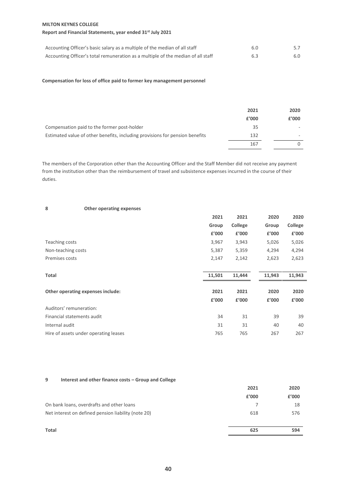# **MILTON KEYNES COLLEGE Report and Financial Statements, year ended 31st July 2021**

| Accounting Officer's basic salary as a multiple of the median of all staff       | 6.0 | 5.7 |
|----------------------------------------------------------------------------------|-----|-----|
| Accounting Officer's total remuneration as a multiple of the median of all staff | 6.3 | 6.0 |

#### **Compensation for loss of office paid to former key management personnel**

|                                                                              | 2021<br>£'000 | 2020<br>£'000 |
|------------------------------------------------------------------------------|---------------|---------------|
| Compensation paid to the former post-holder                                  | 35            |               |
| Estimated value of other benefits, including provisions for pension benefits | 132           |               |
|                                                                              | 167           |               |

The members of the Corporation other than the Accounting Officer and the Staff Member did not receive any payment from the institution other than the reimbursement of travel and subsistence expenses incurred in the course of their duties.

#### **8 Other operating expenses**

|                                       | 2021   | 2021    | 2020   | 2020    |
|---------------------------------------|--------|---------|--------|---------|
|                                       | Group  | College | Group  | College |
|                                       | £'000  | £'000   | £'000  | £'000   |
| Teaching costs                        | 3,967  | 3,943   | 5,026  | 5,026   |
| Non-teaching costs                    | 5,387  | 5,359   | 4,294  | 4,294   |
| Premises costs                        | 2,147  | 2,142   | 2,623  | 2,623   |
|                                       |        |         |        |         |
| <b>Total</b>                          | 11,501 | 11,444  | 11,943 | 11,943  |
| Other operating expenses include:     | 2021   | 2021    | 2020   | 2020    |
|                                       | £'000  | £'000   | £'000  | £'000   |
| Auditors' remuneration:               |        |         |        |         |
| Financial statements audit            | 34     | 31      | 39     | 39      |
| Internal audit                        | 31     | 31      | 40     | 40      |
| Hire of assets under operating leases | 765    | 765     | 267    | 267     |

#### **9 Interest and other finance costs – Group and College**

|                                                     | 2021  | 2020  |
|-----------------------------------------------------|-------|-------|
|                                                     | £'000 | £'000 |
| On bank loans, overdrafts and other loans           |       | 18    |
| Net interest on defined pension liability (note 20) | 618   | 576   |
| Total                                               | 625   | 594   |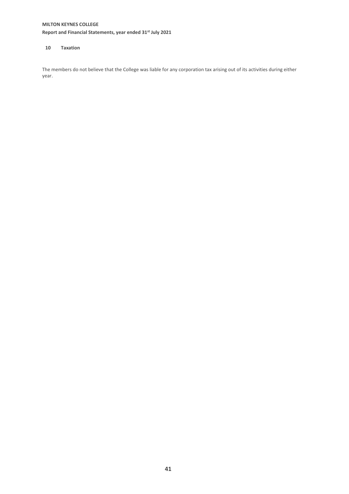# **MILTON KEYNES COLLEGE Report and Financial Statements, year ended 31st July 2021**

#### **10 Taxation**

The members do not believe that the College was liable for any corporation tax arising out of its activities during either year.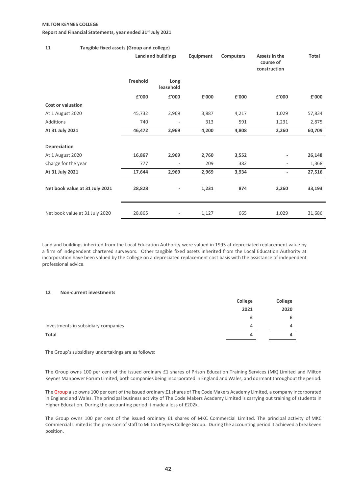**Report and Financial Statements, year ended 31st July 2021**

#### **11 Tangible fixed assets (Group and college)**

|                                |          | Land and buildings | Equipment | <b>Computers</b> | Assets in the<br>course of<br>construction | <b>Total</b> |
|--------------------------------|----------|--------------------|-----------|------------------|--------------------------------------------|--------------|
|                                | Freehold | Long<br>leasehold  |           |                  |                                            |              |
|                                | £'000    | £'000              | £'000     | £'000            | £'000                                      | £'000        |
| Cost or valuation              |          |                    |           |                  |                                            |              |
| At 1 August 2020               | 45,732   | 2,969              | 3,887     | 4,217            | 1,029                                      | 57,834       |
| Additions                      | 740      |                    | 313       | 591              | 1,231                                      | 2,875        |
| At 31 July 2021                | 46,472   | 2,969              | 4,200     | 4,808            | 2,260                                      | 60,709       |
| <b>Depreciation</b>            |          |                    |           |                  |                                            |              |
| At 1 August 2020               | 16,867   | 2,969              | 2,760     | 3,552            | -                                          | 26,148       |
| Charge for the year            | 777      |                    | 209       | 382              | -                                          | 1,368        |
| At 31 July 2021                | 17,644   | 2,969              | 2,969     | 3,934            | $\qquad \qquad \blacksquare$               | 27,516       |
| Net book value at 31 July 2021 | 28,828   |                    | 1,231     | 874              | 2,260                                      | 33,193       |
| Net book value at 31 July 2020 | 28,865   |                    | 1,127     | 665              | 1,029                                      | 31,686       |

Land and buildings inherited from the Local Education Authority were valued in 1995 at depreciated replacement value by a firm of independent chartered surveyors. Other tangible fixed assets inherited from the Local Education Authority at incorporation have been valued by the College on a depreciated replacement cost basis with the assistance of independent professional advice.

#### **12 Non-current investments**

|                                     | College | College |
|-------------------------------------|---------|---------|
|                                     | 2021    | 2020    |
|                                     |         |         |
| Investments in subsidiary companies | 4       | 4       |
| Total                               | 4       |         |
|                                     |         |         |

The Group's subsidiary undertakings are as follows:

The Group owns 100 per cent of the issued ordinary £1 shares of Prison Education Training Services (MK) Limited and Milton Keynes Manpower Forum Limited, both companies being incorporated in England and Wales, and dormant throughout the period.

The Group also owns 100 per cent of the issued ordinary £1 shares of The Code Makers Academy Limited, a company incorporated in England and Wales. The principal business activity of The Code Makers Academy Limited is carrying out training of students in Higher Education. During the accounting period it made a loss of £202k.

The Group owns 100 per cent of the issued ordinary £1 shares of MKC Commercial Limited. The principal activity of MKC Commercial Limited is the provision of staff to Milton Keynes College Group. During the accounting period it achieved a breakeven position.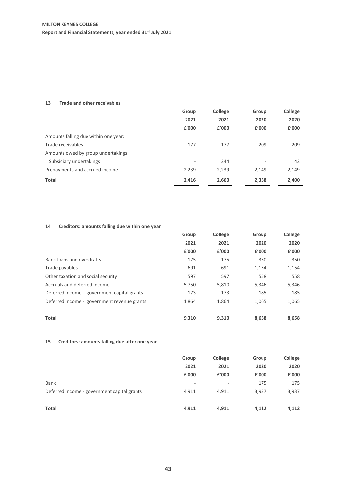#### **13 Trade and other receivables**

|                                      | Group | College | Group | College |
|--------------------------------------|-------|---------|-------|---------|
|                                      | 2021  | 2021    | 2020  | 2020    |
|                                      | £'000 | £'000   | £'000 | £'000   |
| Amounts falling due within one year: |       |         |       |         |
| Trade receivables                    | 177   | 177     | 209   | 209     |
| Amounts owed by group undertakings:  |       |         |       |         |
| Subsidiary undertakings              | -     | 244     |       | 42      |
| Prepayments and accrued income       | 2,239 | 2,239   | 2.149 | 2,149   |
| <b>Total</b>                         | 2,416 | 2,660   | 2,358 | 2,400   |

#### **14 Creditors: amounts falling due within one year**

|                                             | Group | College | Group | College |
|---------------------------------------------|-------|---------|-------|---------|
|                                             | 2021  | 2021    | 2020  | 2020    |
|                                             | £'000 | £'000   | £'000 | £'000   |
| Bank loans and overdrafts                   | 175   | 175     | 350   | 350     |
| Trade payables                              | 691   | 691     | 1,154 | 1,154   |
| Other taxation and social security          | 597   | 597     | 558   | 558     |
| Accruals and deferred income                | 5,750 | 5,810   | 5,346 | 5,346   |
| Deferred income - government capital grants | 173   | 173     | 185   | 185     |
| Deferred income - government revenue grants | 1,864 | 1,864   | 1,065 | 1,065   |
|                                             |       |         |       |         |
| Total                                       | 9,310 | 9,310   | 8,658 | 8,658   |

# **15 Creditors: amounts falling due after one year**

|                                             | Group                    | College                  | Group | College |
|---------------------------------------------|--------------------------|--------------------------|-------|---------|
|                                             | 2021                     | 2021                     | 2020  | 2020    |
|                                             | £'000                    | £'000                    | £'000 | £'000   |
| Bank                                        | $\overline{\phantom{a}}$ | $\overline{\phantom{a}}$ | 175   | 175     |
| Deferred income - government capital grants | 4,911                    | 4,911                    | 3,937 | 3,937   |
| Total                                       | 4,911                    | 4,911                    | 4,112 | 4,112   |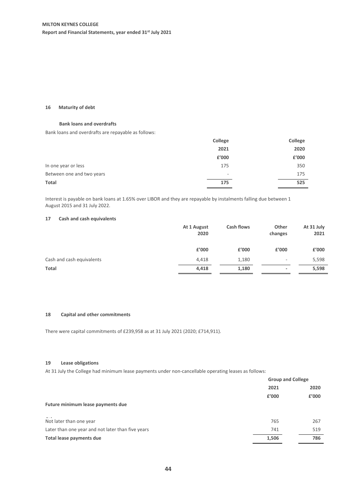#### **16 Maturity of debt**

#### **Bank loans and overdrafts**

Bank loans and overdrafts are repayable as follows:

|                           | College | College |
|---------------------------|---------|---------|
|                           | 2021    | 2020    |
|                           | £'000   | £'000   |
| In one year or less       | 175     | 350     |
| Between one and two years | ۰       | 175     |
| Total                     | 175     | 525     |

Interest is payable on bank loans at 1.65% over LIBOR and they are repayable by instalments falling due between 1 August 2015 and 31 July 2022.

#### **17 Cash and cash equivalents**

|                           | At 1 August<br>2020 | <b>Cash flows</b> | Other<br>changes | At 31 July<br>2021 |
|---------------------------|---------------------|-------------------|------------------|--------------------|
|                           | £'000               | £'000             | £'000            | £'000              |
| Cash and cash equivalents | 4,418               | 1,180             | -                | 5,598              |
| Total                     | 4,418               | 1,180             | ٠                | 5,598              |

#### **18 Capital and other commitments**

There were capital commitments of £239,958 as at 31 July 2021 (2020; £714,911).

#### **19 Lease obligations**

At 31 July the College had minimum lease payments under non-cancellable operating leases as follows:

|                                                   | <b>Group and College</b> |       |
|---------------------------------------------------|--------------------------|-------|
|                                                   | 2021                     | 2020  |
|                                                   | £'000                    | £'000 |
| Future minimum lease payments due                 |                          |       |
|                                                   |                          |       |
| Not later than one year                           | 765                      | 267   |
| Later than one year and not later than five years | 741                      | 519   |
| Total lease payments due                          | 1,506                    | 786   |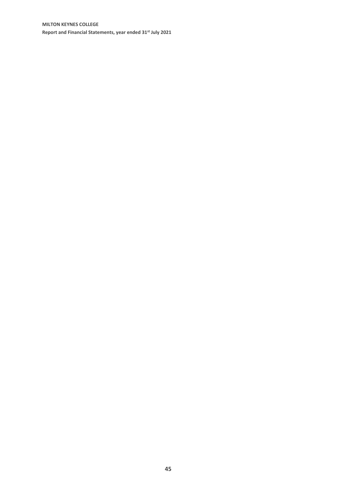**MILTON KEYNES COLLEGE Report and Financial Statements, year ended 31st July 2021**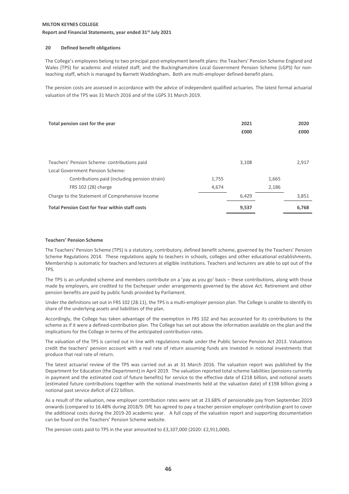#### **Report and Financial Statements, year ended 31st July 2021**

#### **20 Defined benefit obligations**

The College's employees belong to two principal post-employment benefit plans: the Teachers' Pension Scheme England and Wales (TPS) for academic and related staff; and the Buckinghamshire Local Government Pension Scheme (LGPS) for nonteaching staff, which is managed by Barnett Waddingham**.** Both are multi-employer defined-benefit plans.

The pension costs are assessed in accordance with the advice of independent qualified actuaries. The latest formal actuarial valuation of the TPS was 31 March 2016 and of the LGPS 31 March 2019.

| Total pension cost for the year                       |       | 2021<br>£000 |       | 2020<br>£000 |
|-------------------------------------------------------|-------|--------------|-------|--------------|
| Teachers' Pension Scheme: contributions paid          |       | 3,108        |       | 2,917        |
| Local Government Pension Scheme:                      |       |              |       |              |
| Contributions paid (including pension strain)         | 1,755 |              | 1,665 |              |
| FRS 102 (28) charge                                   | 4,674 |              | 2,186 |              |
| Charge to the Statement of Comprehensive Income       |       | 6,429        |       | 3,851        |
| <b>Total Pension Cost for Year within staff costs</b> |       | 9,537        |       | 6,768        |

#### **Teachers' Pension Scheme**

The Teachers' Pension Scheme (TPS) is a statutory, contributory, defined benefit scheme, governed by the Teachers' Pension Scheme Regulations 2014. These regulations apply to teachers in schools, colleges and other educational establishments. Membership is automatic for teachers and lecturers at eligible institutions. Teachers and lecturers are able to opt out of the TPS.

The TPS is an unfunded scheme and members contribute on a 'pay as you go' basis – these contributions, along with those made by employers, are credited to the Exchequer under arrangements governed by the above Act. Retirement and other pension benefits are paid by public funds provided by Parliament.

Under the definitions set out in FRS 102 (28.11), the TPS is a multi-employer pension plan. The College is unable to identify its share of the underlying assets and liabilities of the plan.

Accordingly, the College has taken advantage of the exemption in FRS 102 and has accounted for its contributions to the scheme as if it were a defined-contribution plan. The College has set out above the information available on the plan and the implications for the College in terms of the anticipated contribution rates.

The valuation of the TPS is carried out in line with regulations made under the Public Service Pension Act 2013. Valuations credit the teachers' pension account with a real rate of return assuming funds are invested in notional investments that produce that real rate of return.

The latest actuarial review of the TPS was carried out as at 31 March 2016. The valuation report was published by the Department for Education (the Department) in April 2019. The valuation reported total scheme liabilities (pensions currently in payment and the estimated cost of future benefits) for service to the effective date of £218 billion, and notional assets (estimated future contributions together with the notional investments held at the valuation date) of £198 billion giving a notional past service deficit of £22 billion.

As a result of the valuation, new employer contribution rates were set at 23.68% of pensionable pay from September 2019 onwards (compared to 16.48% during 2018/9. DfE has agreed to pay a teacher pension employer contribution grant to cover the additional costs during the 2019-20 academic year. A full copy of the valuation report and supporting documentation can be found on the Teachers' Pension Scheme website.

The pension costs paid to TPS in the year amounted to £3,107,000 (2020: £2,911,000).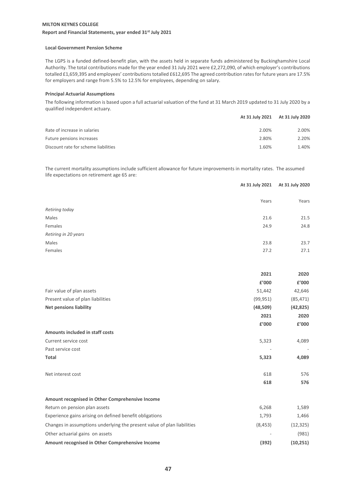#### **Report and Financial Statements, year ended 31st July 2021**

#### **Local Government Pension Scheme**

The LGPS is a funded defined-benefit plan, with the assets held in separate funds administered by Buckinghamshire Local Authority. The total contributions made for the year ended 31 July 2021 were £2,272,090, of which employer's contributions totalled £1,659,395 and employees' contributions totalled £612,695 The agreed contribution rates for future years are 17.5% for employers and range from 5.5% to 12.5% for employees, depending on salary.

#### **Principal Actuarial Assumptions**

The following information is based upon a full actuarial valuation of the fund at 31 March 2019 updated to 31 July 2020 by a qualified independent actuary.

|                                      |       | At 31 July 2021 At 31 July 2020 |
|--------------------------------------|-------|---------------------------------|
| Rate of increase in salaries         | 2.00% | 2.00%                           |
| Future pensions increases            | 2.80% | 2.20%                           |
| Discount rate for scheme liabilities | 1.60% | 1.40%                           |

The current mortality assumptions include sufficient allowance for future improvements in mortality rates. The assumed life expectations on retirement age 65 are:

|                                                                         | At 31 July 2021         | At 31 July 2020 |
|-------------------------------------------------------------------------|-------------------------|-----------------|
|                                                                         | Years                   | Years           |
| Retiring today                                                          |                         |                 |
| Males                                                                   | 21.6                    | 21.5            |
| Females                                                                 | 24.9                    | 24.8            |
| Retiring in 20 years                                                    |                         |                 |
| Males                                                                   | 23.8                    | 23.7            |
| Females                                                                 | 27.2                    | 27.1            |
|                                                                         | 2021                    | 2020            |
|                                                                         | $\pmb{\mathsf{E}}'$ 000 | £'000           |
| Fair value of plan assets                                               | 51,442                  | 42,646          |
| Present value of plan liabilities                                       | (99, 951)               | (85, 471)       |
| <b>Net pensions liability</b>                                           | (48, 509)               | (42, 825)       |
|                                                                         | 2021                    | 2020            |
|                                                                         | £'000                   | £'000           |
| Amounts included in staff costs                                         |                         |                 |
| Current service cost                                                    | 5,323                   | 4,089           |
| Past service cost                                                       |                         |                 |
| Total                                                                   | 5,323                   | 4,089           |
| Net interest cost                                                       | 618                     | 576             |
|                                                                         | 618                     | 576             |
| Amount recognised in Other Comprehensive Income                         |                         |                 |
| Return on pension plan assets                                           | 6,268                   | 1,589           |
| Experience gains arising on defined benefit obligations                 | 1,793                   | 1,466           |
| Changes in assumptions underlying the present value of plan liabilities | (8, 453)                | (12, 325)       |
| Other actuarial gains on assets                                         |                         | (981)           |
| Amount recognised in Other Comprehensive Income                         | (392)                   | (10, 251)       |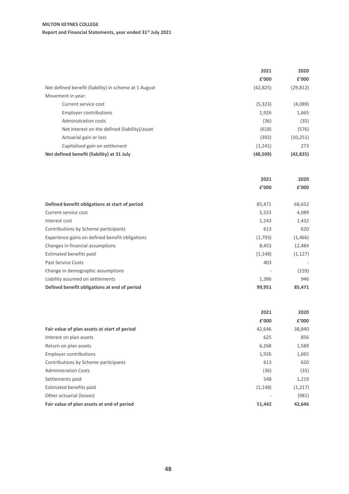|                                                       | 2021      | 2020      |
|-------------------------------------------------------|-----------|-----------|
|                                                       | £'000     | £'000     |
| Net defined benefit (liability) in scheme at 1 August | (42, 825) | (29, 812) |
| Movement in year:                                     |           |           |
| Current service cost                                  | (5, 323)  | (4,089)   |
| <b>Employer contributions</b>                         | 1,926     | 1,665     |
| Administration costs                                  | (36)      | (35)      |
| Net interest on the defined (liability)/asset         | (618)     | (576)     |
| Actuarial gain or loss                                | (392)     | (10, 251) |
| Capitalised gain on settlement                        | (1,241)   | 273       |
| Net defined benefit (liability) at 31 July            | (48, 509) | (42, 825) |

|                                                 | 2021     | 2020     |
|-------------------------------------------------|----------|----------|
|                                                 | £'000    | £'000    |
|                                                 |          |          |
| Defined benefit obligations at start of period  | 85,471   | 68,652   |
| Current service cost                            | 5,323    | 4,089    |
| Interest cost                                   | 1,243    | 1,432    |
| Contributions by Scheme participants            | 613      | 620      |
| Experience gains on defined benefit obligations | (1,793)  | (1, 466) |
| Changes in financial assumptions                | 8,453    | 12,484   |
| Estimated benefits paid                         | (1, 148) | (1, 127) |
| <b>Past Service Costs</b>                       | 403      |          |
| Change in demographic assumptions               |          | (159)    |
| Liability assumed on settlements                | 1,386    | 946      |
| Defined benefit obligations at end of period    | 99,951   | 85,471   |

| 2021     | 2020    |
|----------|---------|
| £'000    | £'000   |
| 42,646   | 38,840  |
| 625      | 856     |
| 6,268    | 1,589   |
| 1,926    | 1,665   |
| 613      | 620     |
| (36)     | (35)    |
| 548      | 1,219   |
| (1, 148) | (1,217) |
|          | (981)   |
| 51,442   | 42,646  |
|          |         |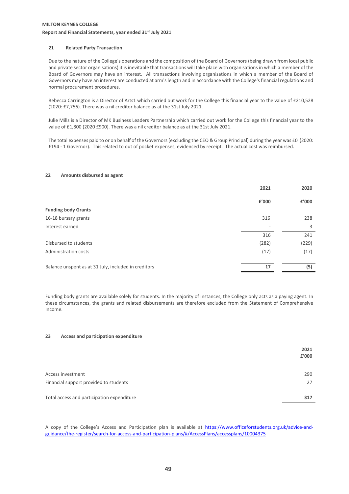#### **Report and Financial Statements, year ended 31st July 2021**

#### **21 Related Party Transaction**

Due to the nature of the College's operations and the composition of the Board of Governors (being drawn from local public and private sector organisations) it is inevitable that transactions will take place with organisations in which a member of the Board of Governors may have an interest. All transactions involving organisations in which a member of the Board of Governors may have an interest are conducted at arm's length and in accordance with the College's financial regulations and normal procurement procedures.

Rebecca Carrington is a Director of Arts1 which carried out work for the College this financial year to the value of £210,528 (2020: £7,756). There was a nil creditor balance as at the 31st July 2021.

Julie Mills is a Director of MK Business Leaders Partnership which carried out work for the College this financial year to the value of £1,800 (2020 £900). There was a nil creditor balance as at the 31st July 2021.

The total expenses paid to or on behalf of the Governors (excluding the CEO & Group Principal) during the year was £0 (2020: £194 - 1 Governor). This related to out of pocket expenses, evidenced by receipt. The actual cost was reimbursed.

#### **22 Amounts disbursed as agent**

|                                                      | 2021  | 2020  |
|------------------------------------------------------|-------|-------|
|                                                      | £'000 | £'000 |
| <b>Funding body Grants</b>                           |       |       |
| 16-18 bursary grants                                 | 316   | 238   |
| Interest earned                                      | ۰     | 3     |
|                                                      | 316   | 241   |
| Disbursed to students                                | (282) | (229) |
| Administration costs                                 | (17)  | (17)  |
|                                                      |       |       |
| Balance unspent as at 31 July, included in creditors | 17    | (5)   |

Funding body grants are available solely for students. In the majority of instances, the College only acts as a paying agent. In these circumstances, the grants and related disbursements are therefore excluded from the Statement of Comprehensive Income.

#### **23 Access and participation expenditure**

|                                            | 2021<br>£'000 |
|--------------------------------------------|---------------|
| Access investment                          | 290           |
| Financial support provided to students     | 27            |
| Total access and participation expenditure | 317           |

A copy of the College's Access and Participation plan is available at [https://www.officeforstudents.org.uk/advice-and](https://www.officeforstudents.org.uk/advice-and-guidance/the-register/search-for-access-and-participation-plans/#/AccessPlans/accessplans/10004375)[guidance/the-register/search-for-access-and-participation-plans/#/AccessPlans/accessplans/10004375](https://www.officeforstudents.org.uk/advice-and-guidance/the-register/search-for-access-and-participation-plans/#/AccessPlans/accessplans/10004375)